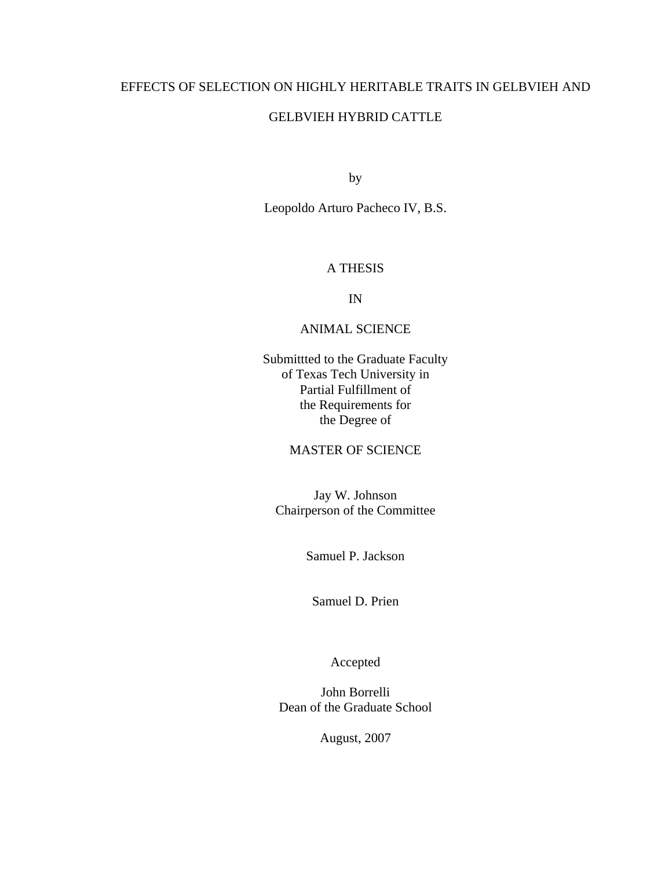# EFFECTS OF SELECTION ON HIGHLY HERITABLE TRAITS IN GELBVIEH AND

# GELBVIEH HYBRID CATTLE

by

Leopoldo Arturo Pacheco IV, B.S.

# A THESIS

IN

# ANIMAL SCIENCE

Submittted to the Graduate Faculty of Texas Tech University in Partial Fulfillment of the Requirements for the Degree of

# MASTER OF SCIENCE

Jay W. Johnson Chairperson of the Committee

Samuel P. Jackson

Samuel D. Prien

Accepted

John Borrelli Dean of the Graduate School

August, 2007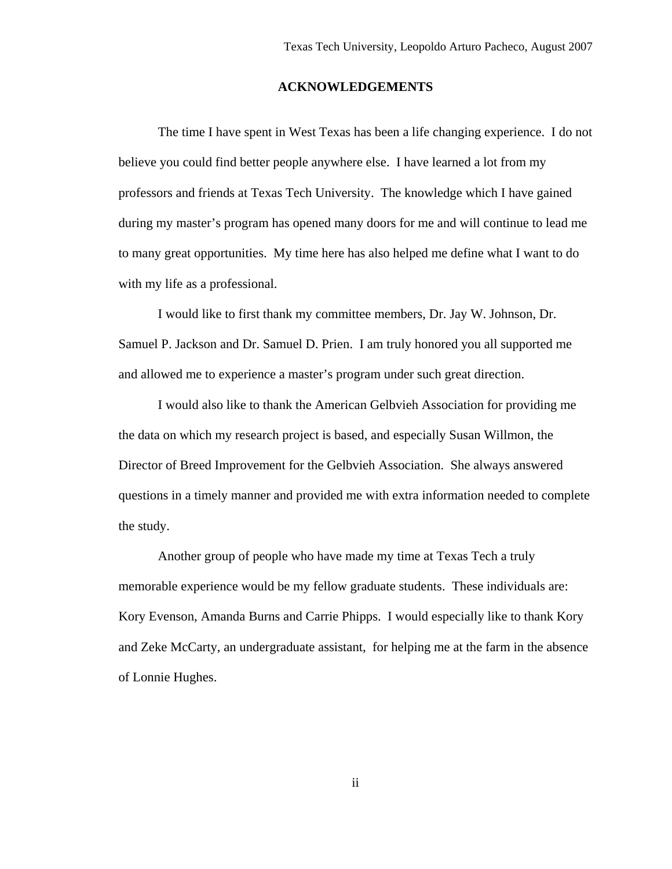#### **ACKNOWLEDGEMENTS**

 The time I have spent in West Texas has been a life changing experience. I do not believe you could find better people anywhere else. I have learned a lot from my professors and friends at Texas Tech University. The knowledge which I have gained during my master's program has opened many doors for me and will continue to lead me to many great opportunities. My time here has also helped me define what I want to do with my life as a professional.

 I would like to first thank my committee members, Dr. Jay W. Johnson, Dr. Samuel P. Jackson and Dr. Samuel D. Prien. I am truly honored you all supported me and allowed me to experience a master's program under such great direction.

 I would also like to thank the American Gelbvieh Association for providing me the data on which my research project is based, and especially Susan Willmon, the Director of Breed Improvement for the Gelbvieh Association. She always answered questions in a timely manner and provided me with extra information needed to complete the study.

 Another group of people who have made my time at Texas Tech a truly memorable experience would be my fellow graduate students. These individuals are: Kory Evenson, Amanda Burns and Carrie Phipps. I would especially like to thank Kory and Zeke McCarty, an undergraduate assistant, for helping me at the farm in the absence of Lonnie Hughes.

ii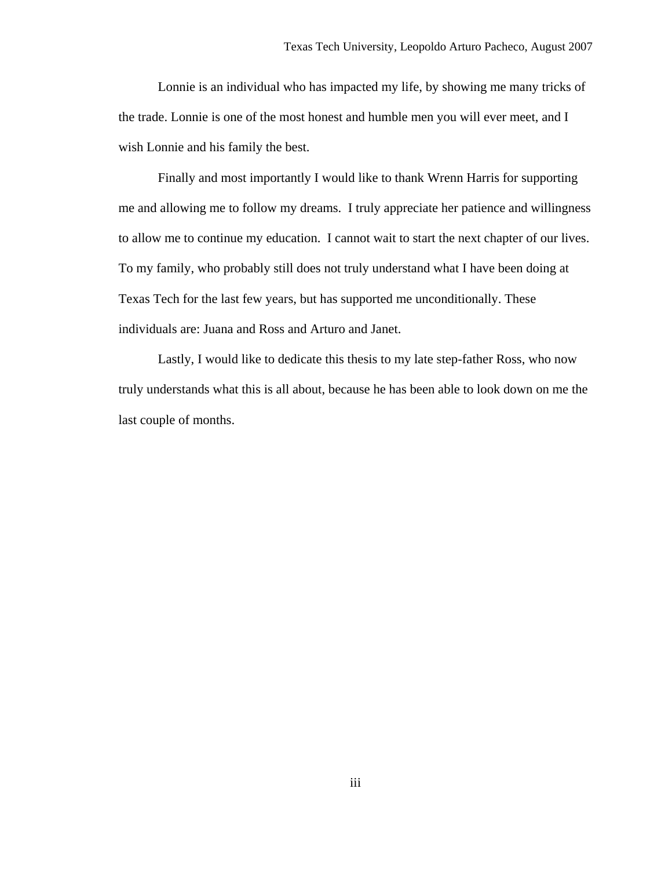Lonnie is an individual who has impacted my life, by showing me many tricks of the trade. Lonnie is one of the most honest and humble men you will ever meet, and I wish Lonnie and his family the best.

 Finally and most importantly I would like to thank Wrenn Harris for supporting me and allowing me to follow my dreams. I truly appreciate her patience and willingness to allow me to continue my education. I cannot wait to start the next chapter of our lives. To my family, who probably still does not truly understand what I have been doing at Texas Tech for the last few years, but has supported me unconditionally. These individuals are: Juana and Ross and Arturo and Janet.

 Lastly, I would like to dedicate this thesis to my late step-father Ross, who now truly understands what this is all about, because he has been able to look down on me the last couple of months.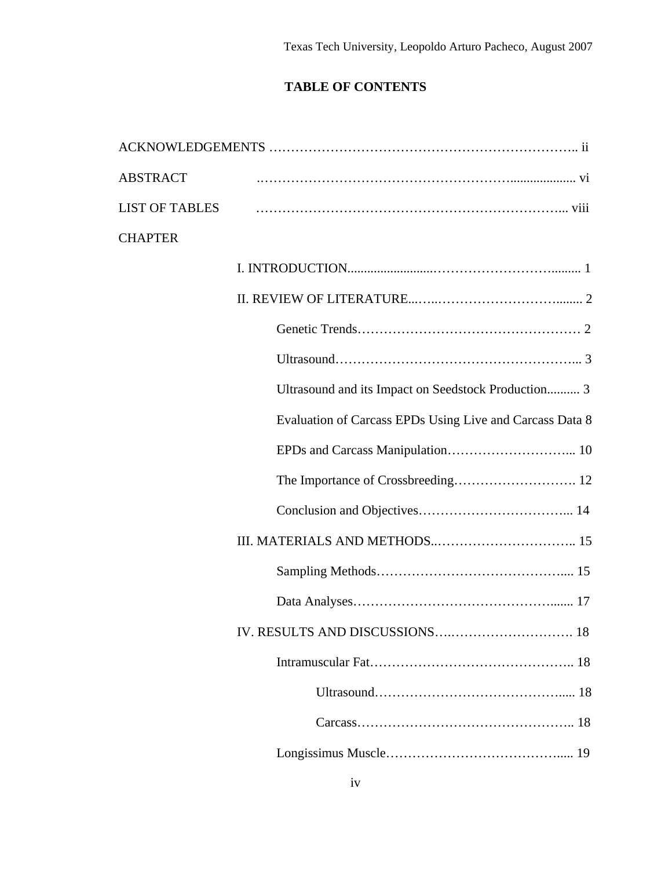# **TABLE OF CONTENTS**

| <b>ABSTRACT</b>       |                                                          |
|-----------------------|----------------------------------------------------------|
| <b>LIST OF TABLES</b> |                                                          |
| <b>CHAPTER</b>        |                                                          |
|                       |                                                          |
|                       |                                                          |
|                       |                                                          |
|                       |                                                          |
|                       | Ultrasound and its Impact on Seedstock Production 3      |
|                       | Evaluation of Carcass EPDs Using Live and Carcass Data 8 |
|                       |                                                          |
|                       |                                                          |
|                       |                                                          |
|                       |                                                          |
|                       |                                                          |
|                       |                                                          |
|                       |                                                          |
|                       |                                                          |
|                       |                                                          |
|                       |                                                          |
|                       |                                                          |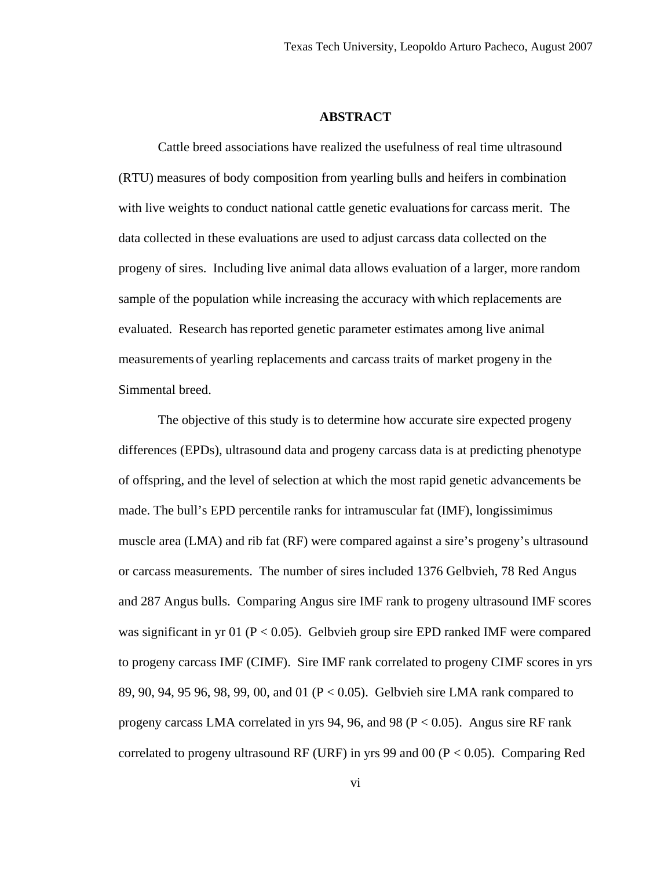#### **ABSTRACT**

 Cattle breed associations have realized the usefulness of real time ultrasound (RTU) measures of body composition from yearling bulls and heifers in combination with live weights to conduct national cattle genetic evaluationsfor carcass merit. The data collected in these evaluations are used to adjust carcass data collected on the progeny of sires. Including live animal data allows evaluation of a larger, more random sample of the population while increasing the accuracy with which replacements are evaluated. Research has reported genetic parameter estimates among live animal measurements of yearling replacements and carcass traits of market progeny in the Simmental breed.

 The objective of this study is to determine how accurate sire expected progeny differences (EPDs), ultrasound data and progeny carcass data is at predicting phenotype of offspring, and the level of selection at which the most rapid genetic advancements be made. The bull's EPD percentile ranks for intramuscular fat (IMF), longissimimus muscle area (LMA) and rib fat (RF) were compared against a sire's progeny's ultrasound or carcass measurements. The number of sires included 1376 Gelbvieh, 78 Red Angus and 287 Angus bulls. Comparing Angus sire IMF rank to progeny ultrasound IMF scores was significant in yr 01 ( $P < 0.05$ ). Gelbvieh group sire EPD ranked IMF were compared to progeny carcass IMF (CIMF). Sire IMF rank correlated to progeny CIMF scores in yrs 89, 90, 94, 95 96, 98, 99, 00, and 01 (P < 0.05). Gelbvieh sire LMA rank compared to progeny carcass LMA correlated in yrs 94, 96, and 98 ( $P < 0.05$ ). Angus sire RF rank correlated to progeny ultrasound RF (URF) in yrs 99 and 00 ( $P < 0.05$ ). Comparing Red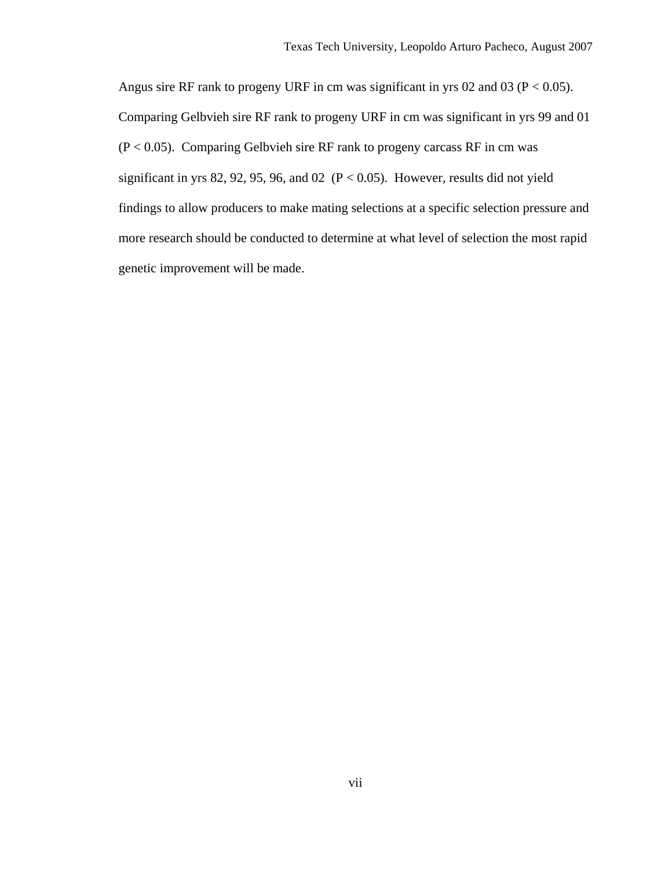Angus sire RF rank to progeny URF in cm was significant in yrs 02 and 03 ( $P < 0.05$ ). Comparing Gelbvieh sire RF rank to progeny URF in cm was significant in yrs 99 and 01  $(P < 0.05)$ . Comparing Gelbvieh sire RF rank to progeny carcass RF in cm was significant in yrs 82, 92, 95, 96, and 02 ( $P < 0.05$ ). However, results did not yield findings to allow producers to make mating selections at a specific selection pressure and more research should be conducted to determine at what level of selection the most rapid genetic improvement will be made.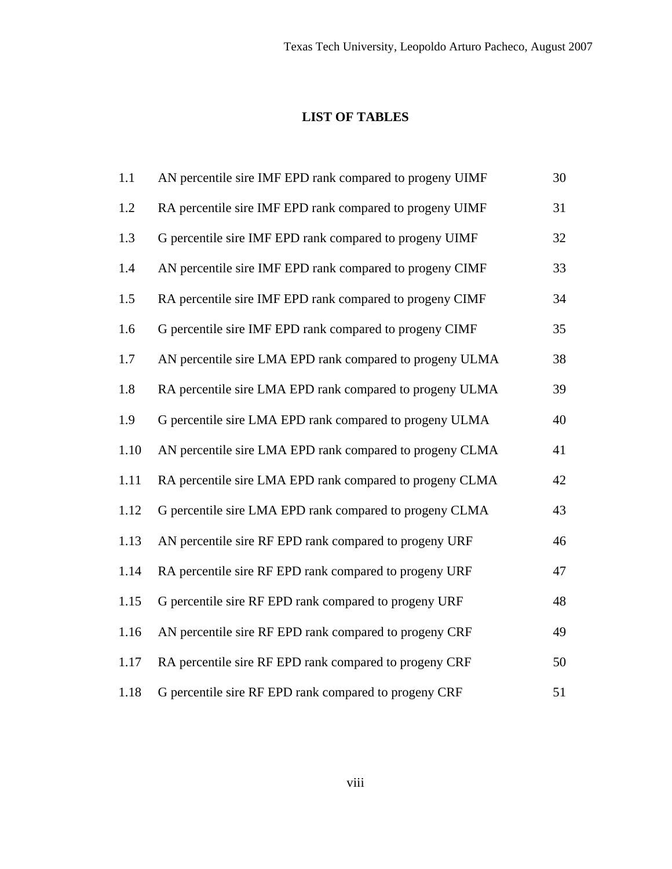# **LIST OF TABLES**

| 1.1  | AN percentile sire IMF EPD rank compared to progeny UIMF | 30 |
|------|----------------------------------------------------------|----|
| 1.2  | RA percentile sire IMF EPD rank compared to progeny UIMF | 31 |
| 1.3  | G percentile sire IMF EPD rank compared to progeny UIMF  | 32 |
| 1.4  | AN percentile sire IMF EPD rank compared to progeny CIMF | 33 |
| 1.5  | RA percentile sire IMF EPD rank compared to progeny CIMF | 34 |
| 1.6  | G percentile sire IMF EPD rank compared to progeny CIMF  | 35 |
| 1.7  | AN percentile sire LMA EPD rank compared to progeny ULMA | 38 |
| 1.8  | RA percentile sire LMA EPD rank compared to progeny ULMA | 39 |
| 1.9  | G percentile sire LMA EPD rank compared to progeny ULMA  | 40 |
| 1.10 | AN percentile sire LMA EPD rank compared to progeny CLMA | 41 |
| 1.11 | RA percentile sire LMA EPD rank compared to progeny CLMA | 42 |
| 1.12 | G percentile sire LMA EPD rank compared to progeny CLMA  | 43 |
| 1.13 | AN percentile sire RF EPD rank compared to progeny URF   | 46 |
| 1.14 | RA percentile sire RF EPD rank compared to progeny URF   | 47 |
| 1.15 | G percentile sire RF EPD rank compared to progeny URF    | 48 |
| 1.16 | AN percentile sire RF EPD rank compared to progeny CRF   | 49 |
| 1.17 | RA percentile sire RF EPD rank compared to progeny CRF   | 50 |
| 1.18 | G percentile sire RF EPD rank compared to progeny CRF    | 51 |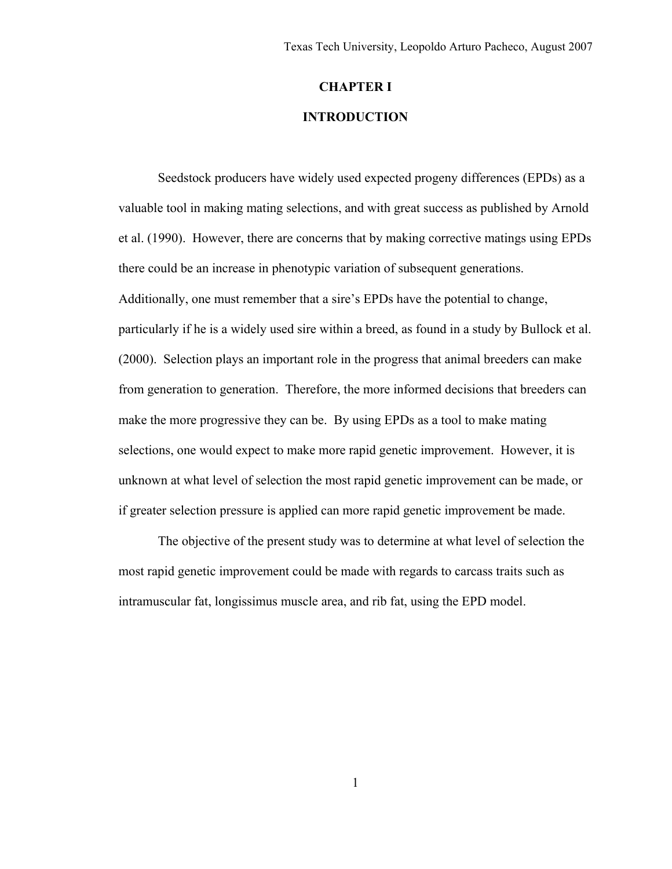# **CHAPTER I**

# **INTRODUCTION**

 Seedstock producers have widely used expected progeny differences (EPDs) as a valuable tool in making mating selections, and with great success as published by Arnold et al. (1990). However, there are concerns that by making corrective matings using EPDs there could be an increase in phenotypic variation of subsequent generations. Additionally, one must remember that a sire's EPDs have the potential to change, particularly if he is a widely used sire within a breed, as found in a study by Bullock et al. (2000). Selection plays an important role in the progress that animal breeders can make from generation to generation. Therefore, the more informed decisions that breeders can make the more progressive they can be. By using EPDs as a tool to make mating selections, one would expect to make more rapid genetic improvement. However, it is unknown at what level of selection the most rapid genetic improvement can be made, or if greater selection pressure is applied can more rapid genetic improvement be made.

 The objective of the present study was to determine at what level of selection the most rapid genetic improvement could be made with regards to carcass traits such as intramuscular fat, longissimus muscle area, and rib fat, using the EPD model.

1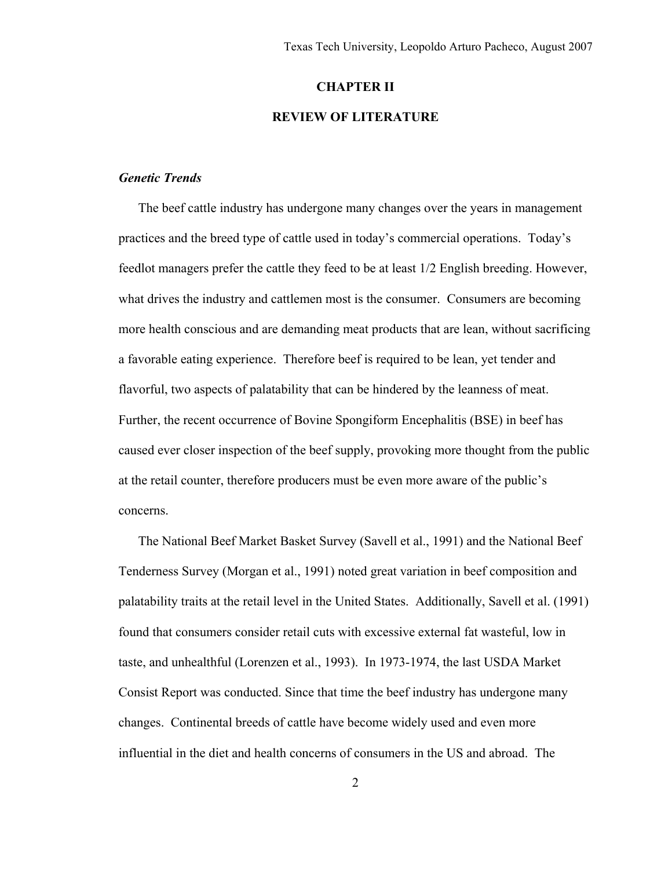#### **CHAPTER II**

# **REVIEW OF LITERATURE**

# *Genetic Trends*

 The beef cattle industry has undergone many changes over the years in management practices and the breed type of cattle used in today's commercial operations. Today's feedlot managers prefer the cattle they feed to be at least 1/2 English breeding. However, what drives the industry and cattlemen most is the consumer. Consumers are becoming more health conscious and are demanding meat products that are lean, without sacrificing a favorable eating experience. Therefore beef is required to be lean, yet tender and flavorful, two aspects of palatability that can be hindered by the leanness of meat. Further, the recent occurrence of Bovine Spongiform Encephalitis (BSE) in beef has caused ever closer inspection of the beef supply, provoking more thought from the public at the retail counter, therefore producers must be even more aware of the public's concerns.

 The National Beef Market Basket Survey (Savell et al., 1991) and the National Beef Tenderness Survey (Morgan et al., 1991) noted great variation in beef composition and palatability traits at the retail level in the United States. Additionally, Savell et al. (1991) found that consumers consider retail cuts with excessive external fat wasteful, low in taste, and unhealthful (Lorenzen et al., 1993). In 1973-1974, the last USDA Market Consist Report was conducted. Since that time the beef industry has undergone many changes. Continental breeds of cattle have become widely used and even more influential in the diet and health concerns of consumers in the US and abroad. The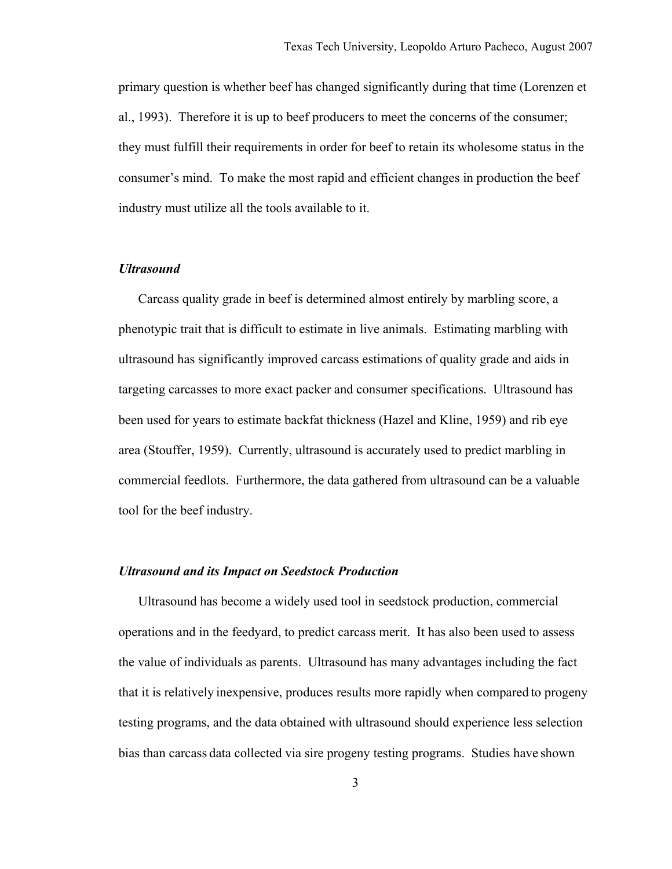primary question is whether beef has changed significantly during that time (Lorenzen et al., 1993). Therefore it is up to beef producers to meet the concerns of the consumer; they must fulfill their requirements in order for beef to retain its wholesome status in the consumer's mind. To make the most rapid and efficient changes in production the beef industry must utilize all the tools available to it.

## *Ultrasound*

 Carcass quality grade in beef is determined almost entirely by marbling score, a phenotypic trait that is difficult to estimate in live animals. Estimating marbling with ultrasound has significantly improved carcass estimations of quality grade and aids in targeting carcasses to more exact packer and consumer specifications. Ultrasound has been used for years to estimate backfat thickness (Hazel and Kline, 1959) and rib eye area (Stouffer, 1959). Currently, ultrasound is accurately used to predict marbling in commercial feedlots. Furthermore, the data gathered from ultrasound can be a valuable tool for the beef industry.

## *Ultrasound and its Impact on Seedstock Production*

 Ultrasound has become a widely used tool in seedstock production, commercial operations and in the feedyard, to predict carcass merit. It has also been used to assess the value of individuals as parents. Ultrasound has many advantages including the fact that it is relatively inexpensive, produces results more rapidly when compared to progeny testing programs, and the data obtained with ultrasound should experience less selection bias than carcass data collected via sire progeny testing programs. Studies have shown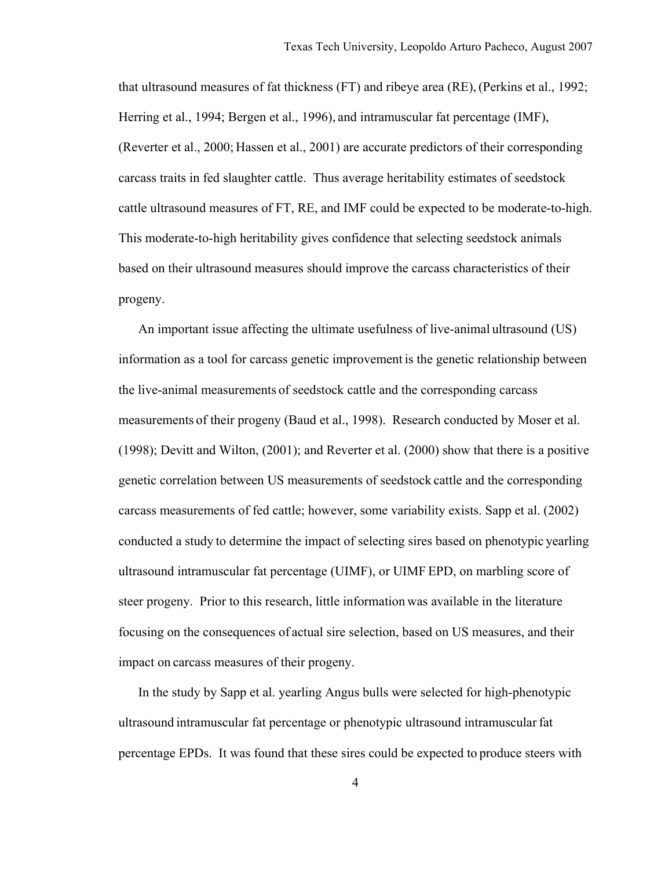that ultrasound measures of fat thickness (FT) and ribeye area (RE),(Perkins et al., 1992; Herring et al., 1994; Bergen et al., 1996), and intramuscular fat percentage (IMF), (Reverter et al., 2000; Hassen et al., 2001) are accurate predictors of their corresponding carcass traits in fed slaughter cattle. Thus average heritability estimates of seedstock cattle ultrasound measures of FT, RE, and IMF could be expected to be moderate-to-high. This moderate-to-high heritability gives confidence that selecting seedstock animals based on their ultrasound measures should improve the carcass characteristics of their progeny.

 An important issue affecting the ultimate usefulness of live-animal ultrasound (US) information as a tool for carcass genetic improvement is the genetic relationship between the live-animal measurements of seedstock cattle and the corresponding carcass measurements of their progeny (Baud et al., 1998). Research conducted by Moser et al. (1998); Devitt and Wilton, (2001); and Reverter et al. (2000) show that there is a positive genetic correlation between US measurements of seedstock cattle and the corresponding carcass measurements of fed cattle; however, some variability exists. Sapp et al. (2002) conducted a study to determine the impact of selecting sires based on phenotypic yearling ultrasound intramuscular fat percentage (UIMF), or UIMF EPD, on marbling score of steer progeny. Prior to this research, little information was available in the literature focusing on the consequences of actual sire selection, based on US measures, and their impact on carcass measures of their progeny.

 In the study by Sapp et al. yearling Angus bulls were selected for high-phenotypic ultrasound intramuscular fat percentage or phenotypic ultrasound intramuscularfat percentage EPDs. It was found that these sires could be expected to produce steers with

4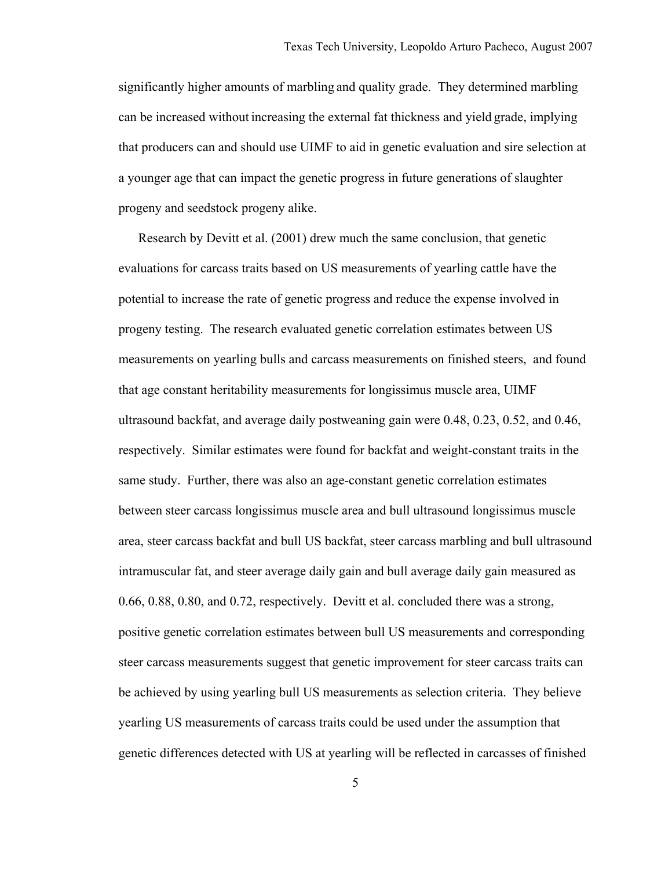significantly higher amounts of marbling and quality grade. They determined marbling can be increased without increasing the external fat thickness and yield grade, implying that producers can and should use UIMF to aid in genetic evaluation and sire selection at a younger age that can impact the genetic progress in future generations of slaughter progeny and seedstock progeny alike.

 Research by Devitt et al. (2001) drew much the same conclusion, that genetic evaluations for carcass traits based on US measurements of yearling cattle have the potential to increase the rate of genetic progress and reduce the expense involved in progeny testing. The research evaluated genetic correlation estimates between US measurements on yearling bulls and carcass measurements on finished steers, and found that age constant heritability measurements for longissimus muscle area, UIMF ultrasound backfat, and average daily postweaning gain were 0.48, 0.23, 0.52, and 0.46, respectively. Similar estimates were found for backfat and weight-constant traits in the same study. Further, there was also an age-constant genetic correlation estimates between steer carcass longissimus muscle area and bull ultrasound longissimus muscle area, steer carcass backfat and bull US backfat, steer carcass marbling and bull ultrasound intramuscular fat, and steer average daily gain and bull average daily gain measured as 0.66, 0.88, 0.80, and 0.72, respectively. Devitt et al. concluded there was a strong, positive genetic correlation estimates between bull US measurements and corresponding steer carcass measurements suggest that genetic improvement for steer carcass traits can be achieved by using yearling bull US measurements as selection criteria. They believe yearling US measurements of carcass traits could be used under the assumption that genetic differences detected with US at yearling will be reflected in carcasses of finished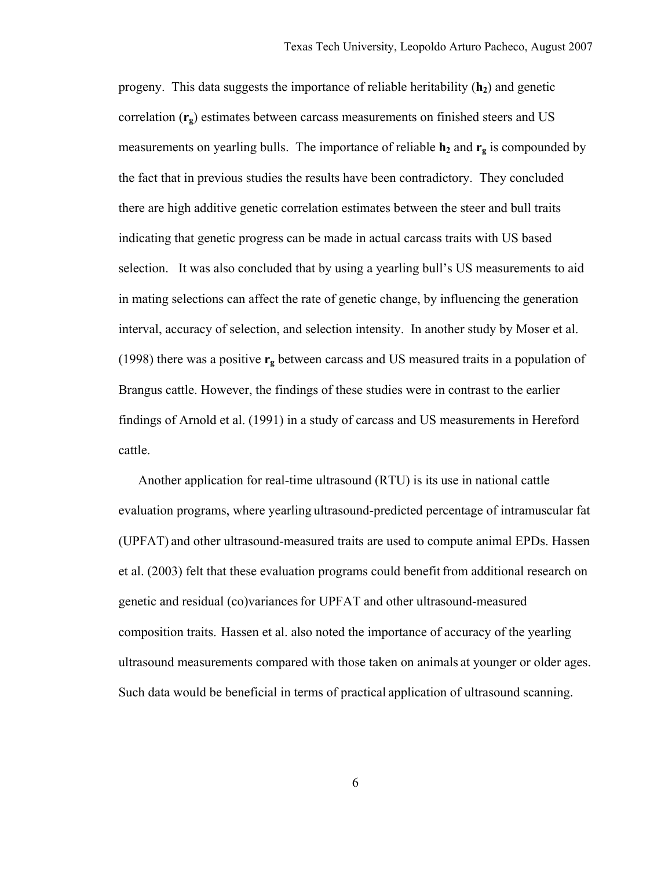progeny. This data suggests the importance of reliable heritability  $(h<sub>2</sub>)$  and genetic correlation (**rg**) estimates between carcass measurements on finished steers and US measurements on yearling bulls. The importance of reliable  $h_2$  and  $r_g$  is compounded by the fact that in previous studies the results have been contradictory. They concluded there are high additive genetic correlation estimates between the steer and bull traits indicating that genetic progress can be made in actual carcass traits with US based selection. It was also concluded that by using a yearling bull's US measurements to aid in mating selections can affect the rate of genetic change, by influencing the generation interval, accuracy of selection, and selection intensity. In another study by Moser et al. (1998) there was a positive **rg** between carcass and US measured traits in a population of Brangus cattle. However, the findings of these studies were in contrast to the earlier findings of Arnold et al. (1991) in a study of carcass and US measurements in Hereford cattle.

 Another application for real-time ultrasound (RTU) is its use in national cattle evaluation programs, where yearling ultrasound-predicted percentage of intramuscular fat (UPFAT) and other ultrasound-measured traits are used to compute animal EPDs. Hassen et al. (2003) felt that these evaluation programs could benefitfrom additional research on genetic and residual (co)variancesfor UPFAT and other ultrasound-measured composition traits. Hassen et al. also noted the importance of accuracy of the yearling ultrasound measurements compared with those taken on animals at younger or older ages. Such data would be beneficial in terms of practical application of ultrasound scanning.

6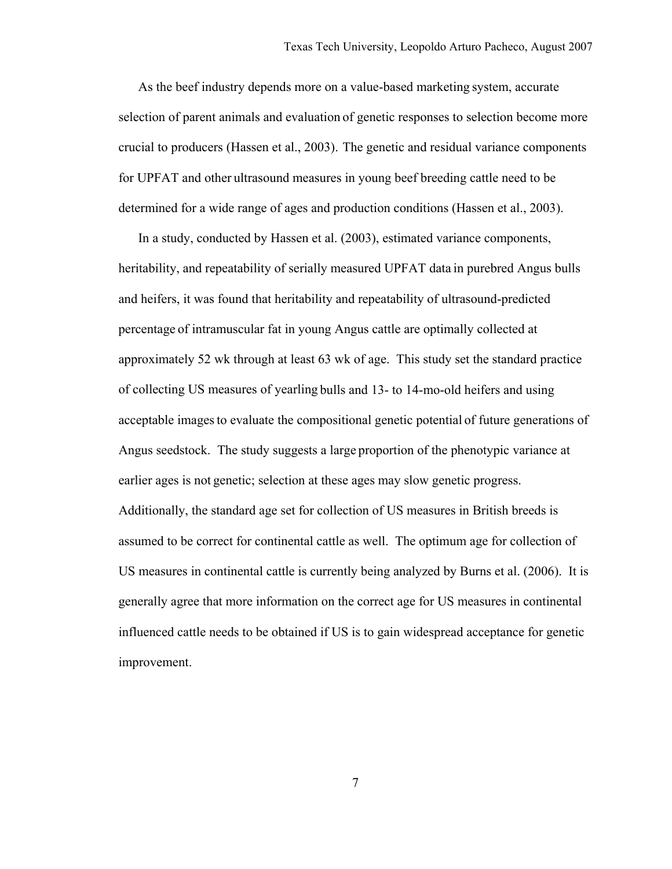As the beef industry depends more on a value-based marketing system, accurate selection of parent animals and evaluation of genetic responses to selection become more crucial to producers (Hassen et al., 2003). The genetic and residual variance components for UPFAT and other ultrasound measures in young beef breeding cattle need to be determined for a wide range of ages and production conditions (Hassen et al., 2003).

 In a study, conducted by Hassen et al. (2003), estimated variance components, heritability, and repeatability of serially measured UPFAT data in purebred Angus bulls and heifers, it was found that heritability and repeatability of ultrasound-predicted percentage of intramuscular fat in young Angus cattle are optimally collected at approximately 52 wk through at least 63 wk of age. This study set the standard practice of collecting US measures of yearling bulls and 13- to 14-mo-old heifers and using acceptable imagesto evaluate the compositional genetic potential of future generations of Angus seedstock. The study suggests a large proportion of the phenotypic variance at earlier ages is not genetic; selection at these ages may slow genetic progress. Additionally, the standard age set for collection of US measures in British breeds is assumed to be correct for continental cattle as well. The optimum age for collection of US measures in continental cattle is currently being analyzed by Burns et al. (2006). It is generally agree that more information on the correct age for US measures in continental influenced cattle needs to be obtained if US is to gain widespread acceptance for genetic improvement.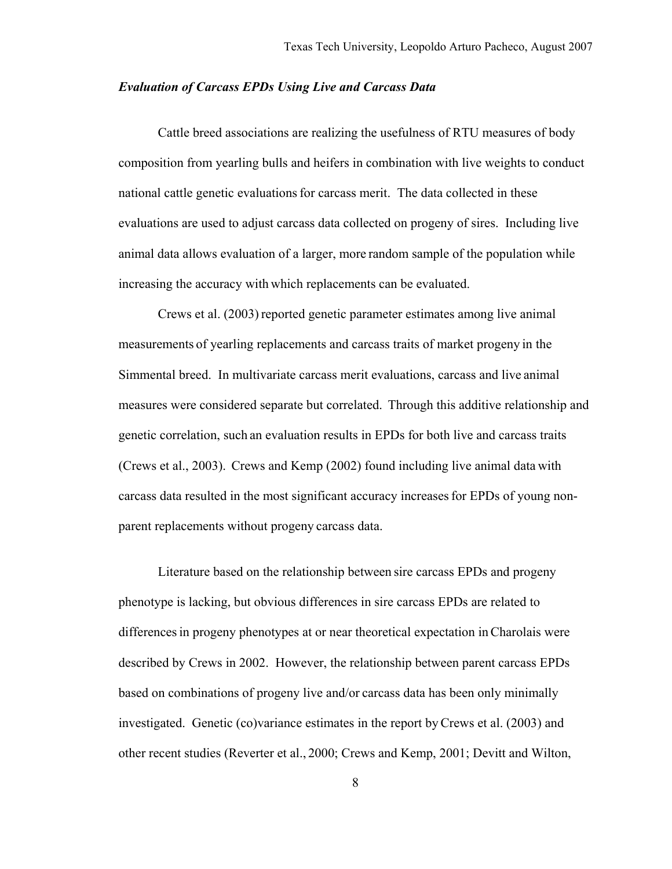## *Evaluation of Carcass EPDs Using Live and Carcass Data*

 Cattle breed associations are realizing the usefulness of RTU measures of body composition from yearling bulls and heifers in combination with live weights to conduct national cattle genetic evaluations for carcass merit. The data collected in these evaluations are used to adjust carcass data collected on progeny of sires. Including live animal data allows evaluation of a larger, more random sample of the population while increasing the accuracy with which replacements can be evaluated.

 Crews et al. (2003) reported genetic parameter estimates among live animal measurements of yearling replacements and carcass traits of market progeny in the Simmental breed. In multivariate carcass merit evaluations, carcass and live animal measures were considered separate but correlated. Through this additive relationship and genetic correlation, such an evaluation results in EPDs for both live and carcass traits (Crews et al., 2003). Crews and Kemp (2002) found including live animal data with carcass data resulted in the most significant accuracy increasesfor EPDs of young nonparent replacements without progeny carcass data.

Literature based on the relationship between sire carcass EPDs and progeny phenotype is lacking, but obvious differences in sire carcass EPDs are related to differencesin progeny phenotypes at or near theoretical expectation inCharolais were described by Crews in 2002. However, the relationship between parent carcass EPDs based on combinations of progeny live and/or carcass data has been only minimally investigated. Genetic (co)variance estimates in the report byCrews et al. (2003) and other recent studies (Reverter et al., 2000; Crews and Kemp, 2001; Devitt and Wilton,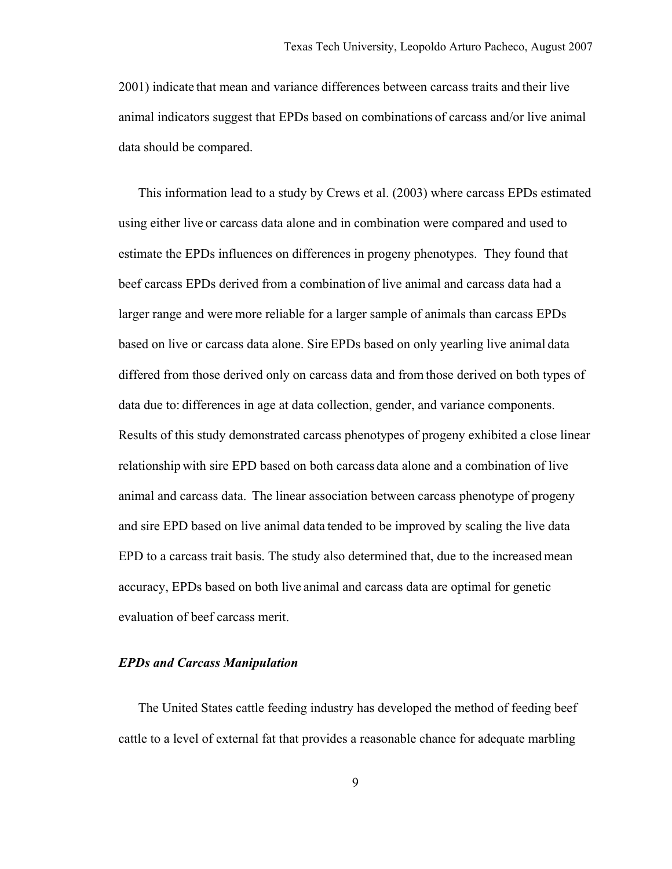2001) indicate that mean and variance differences between carcass traits and their live animal indicators suggest that EPDs based on combinations of carcass and/or live animal data should be compared.

 This information lead to a study by Crews et al. (2003) where carcass EPDs estimated using either live or carcass data alone and in combination were compared and used to estimate the EPDs influences on differences in progeny phenotypes. They found that beef carcass EPDs derived from a combination of live animal and carcass data had a larger range and were more reliable for a larger sample of animals than carcass EPDs based on live or carcass data alone. Sire EPDs based on only yearling live animal data differed from those derived only on carcass data and from those derived on both types of data due to: differences in age at data collection, gender, and variance components. Results of this study demonstrated carcass phenotypes of progeny exhibited a close linear relationship with sire EPD based on both carcass data alone and a combination of live animal and carcass data. The linear association between carcass phenotype of progeny and sire EPD based on live animal data tended to be improved by scaling the live data EPD to a carcass trait basis. The study also determined that, due to the increased mean accuracy, EPDs based on both live animal and carcass data are optimal for genetic evaluation of beef carcass merit.

# *EPDs and Carcass Manipulation*

 The United States cattle feeding industry has developed the method of feeding beef cattle to a level of external fat that provides a reasonable chance for adequate marbling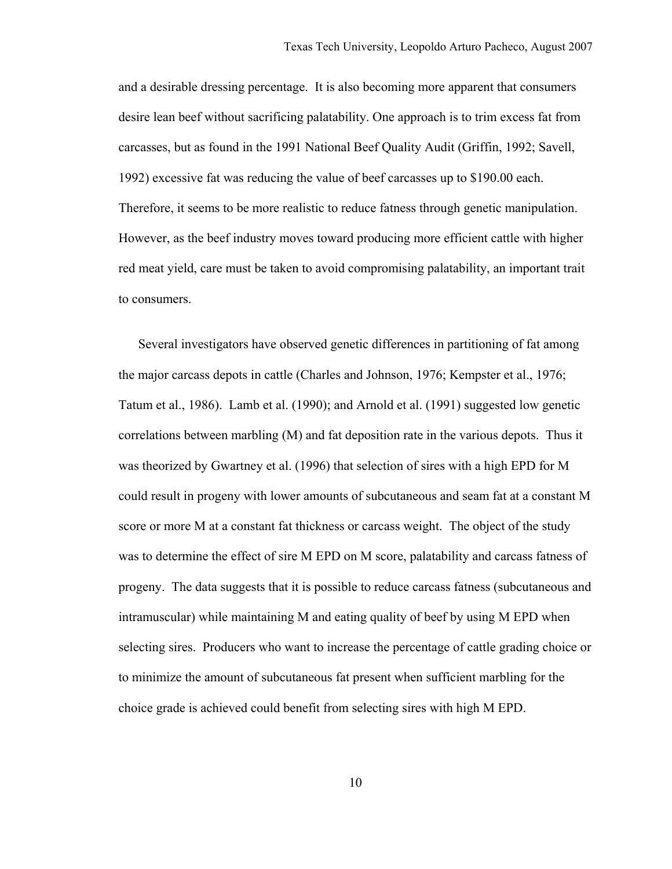and a desirable dressing percentage. It is also becoming more apparent that consumers desire lean beef without sacrificing palatability. One approach is to trim excess fat from carcasses, but as found in the 1991 National Beef Quality Audit (Griffin, 1992; Savell, 1992) excessive fat was reducing the value of beef carcasses up to \$190.00 each. Therefore, it seems to be more realistic to reduce fatness through genetic manipulation. However, as the beef industry moves toward producing more efficient cattle with higher red meat yield, care must be taken to avoid compromising palatability, an important trait to consumers.

 Several investigators have observed genetic differences in partitioning of fat among the major carcass depots in cattle (Charles and Johnson, 1976; Kempster et al., 1976; Tatum et al., 1986). Lamb et al. (1990); and Arnold et al. (1991) suggested low genetic correlations between marbling (M) and fat deposition rate in the various depots. Thus it was theorized by Gwartney et al. (1996) that selection of sires with a high EPD for M could result in progeny with lower amounts of subcutaneous and seam fat at a constant M score or more M at a constant fat thickness or carcass weight. The object of the study was to determine the effect of sire M EPD on M score, palatability and carcass fatness of progeny. The data suggests that it is possible to reduce carcass fatness (subcutaneous and intramuscular) while maintaining M and eating quality of beef by using M EPD when selecting sires. Producers who want to increase the percentage of cattle grading choice or to minimize the amount of subcutaneous fat present when sufficient marbling for the choice grade is achieved could benefit from selecting sires with high M EPD.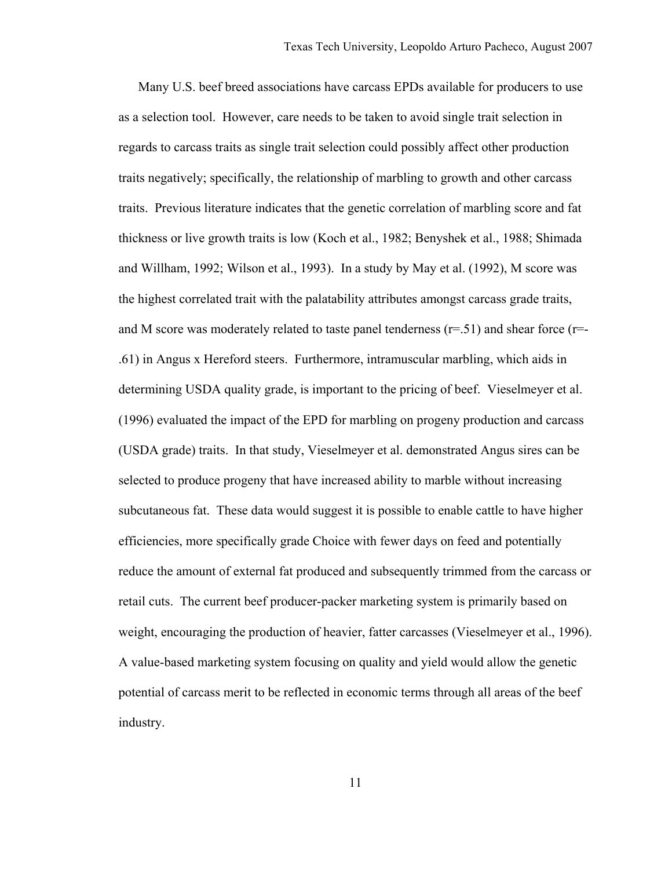Many U.S. beef breed associations have carcass EPDs available for producers to use as a selection tool. However, care needs to be taken to avoid single trait selection in regards to carcass traits as single trait selection could possibly affect other production traits negatively; specifically, the relationship of marbling to growth and other carcass traits. Previous literature indicates that the genetic correlation of marbling score and fat thickness or live growth traits is low (Koch et al., 1982; Benyshek et al., 1988; Shimada and Willham, 1992; Wilson et al., 1993). In a study by May et al. (1992), M score was the highest correlated trait with the palatability attributes amongst carcass grade traits, and M score was moderately related to taste panel tenderness  $(r=0.51)$  and shear force  $(r=0.51)$ .61) in Angus x Hereford steers. Furthermore, intramuscular marbling, which aids in determining USDA quality grade, is important to the pricing of beef. Vieselmeyer et al. (1996) evaluated the impact of the EPD for marbling on progeny production and carcass (USDA grade) traits. In that study, Vieselmeyer et al. demonstrated Angus sires can be selected to produce progeny that have increased ability to marble without increasing subcutaneous fat. These data would suggest it is possible to enable cattle to have higher efficiencies, more specifically grade Choice with fewer days on feed and potentially reduce the amount of external fat produced and subsequently trimmed from the carcass or retail cuts. The current beef producer-packer marketing system is primarily based on weight, encouraging the production of heavier, fatter carcasses (Vieselmeyer et al., 1996). A value-based marketing system focusing on quality and yield would allow the genetic potential of carcass merit to be reflected in economic terms through all areas of the beef industry.

11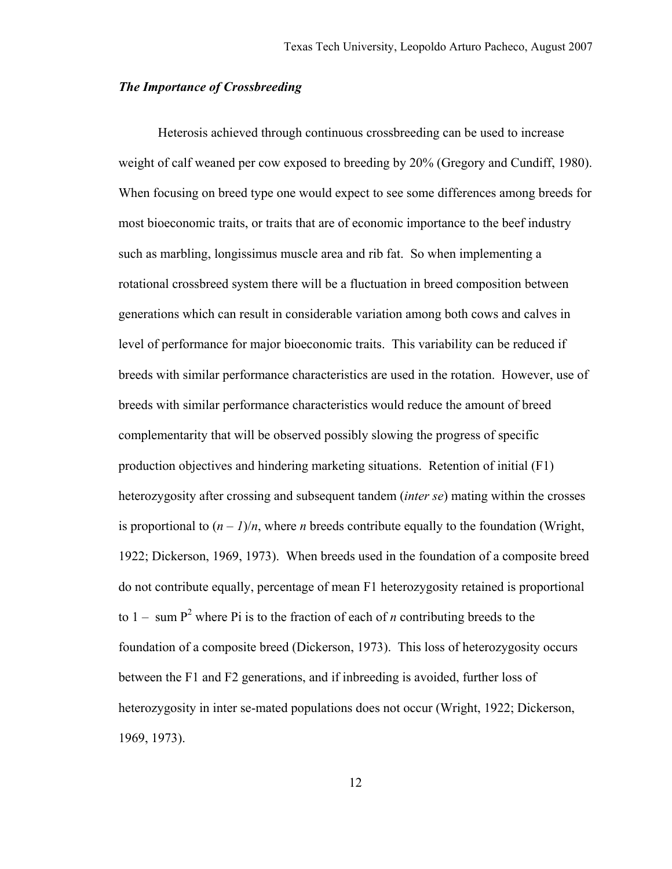# *The Importance of Crossbreeding*

 Heterosis achieved through continuous crossbreeding can be used to increase weight of calf weaned per cow exposed to breeding by 20% (Gregory and Cundiff, 1980). When focusing on breed type one would expect to see some differences among breeds for most bioeconomic traits, or traits that are of economic importance to the beef industry such as marbling, longissimus muscle area and rib fat. So when implementing a rotational crossbreed system there will be a fluctuation in breed composition between generations which can result in considerable variation among both cows and calves in level of performance for major bioeconomic traits. This variability can be reduced if breeds with similar performance characteristics are used in the rotation. However, use of breeds with similar performance characteristics would reduce the amount of breed complementarity that will be observed possibly slowing the progress of specific production objectives and hindering marketing situations. Retention of initial (F1) heterozygosity after crossing and subsequent tandem (*inter se*) mating within the crosses is proportional to  $(n - 1)/n$ , where *n* breeds contribute equally to the foundation (Wright, 1922; Dickerson, 1969, 1973). When breeds used in the foundation of a composite breed do not contribute equally, percentage of mean F1 heterozygosity retained is proportional to  $1 - \text{sum } P^2$  where Pi is to the fraction of each of *n* contributing breeds to the foundation of a composite breed (Dickerson, 1973). This loss of heterozygosity occurs between the F1 and F2 generations, and if inbreeding is avoided, further loss of heterozygosity in inter se-mated populations does not occur (Wright, 1922; Dickerson, 1969, 1973).

12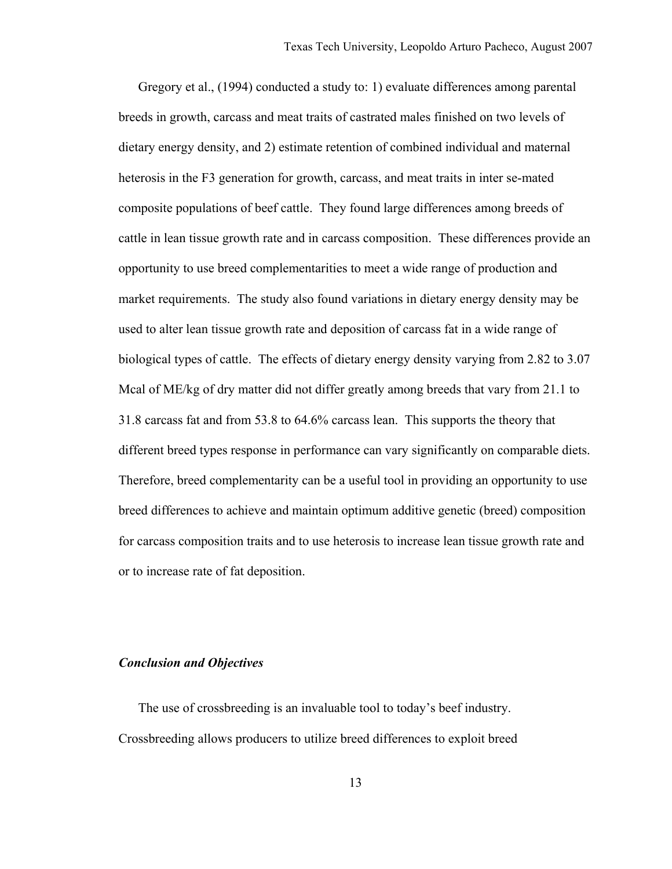Gregory et al., (1994) conducted a study to: 1) evaluate differences among parental breeds in growth, carcass and meat traits of castrated males finished on two levels of dietary energy density, and 2) estimate retention of combined individual and maternal heterosis in the F3 generation for growth, carcass, and meat traits in inter se-mated composite populations of beef cattle. They found large differences among breeds of cattle in lean tissue growth rate and in carcass composition. These differences provide an opportunity to use breed complementarities to meet a wide range of production and market requirements. The study also found variations in dietary energy density may be used to alter lean tissue growth rate and deposition of carcass fat in a wide range of biological types of cattle. The effects of dietary energy density varying from 2.82 to 3.07 Mcal of ME/kg of dry matter did not differ greatly among breeds that vary from 21.1 to 31.8 carcass fat and from 53.8 to 64.6% carcass lean. This supports the theory that different breed types response in performance can vary significantly on comparable diets. Therefore, breed complementarity can be a useful tool in providing an opportunity to use breed differences to achieve and maintain optimum additive genetic (breed) composition for carcass composition traits and to use heterosis to increase lean tissue growth rate and or to increase rate of fat deposition.

# *Conclusion and Objectives*

 The use of crossbreeding is an invaluable tool to today's beef industry. Crossbreeding allows producers to utilize breed differences to exploit breed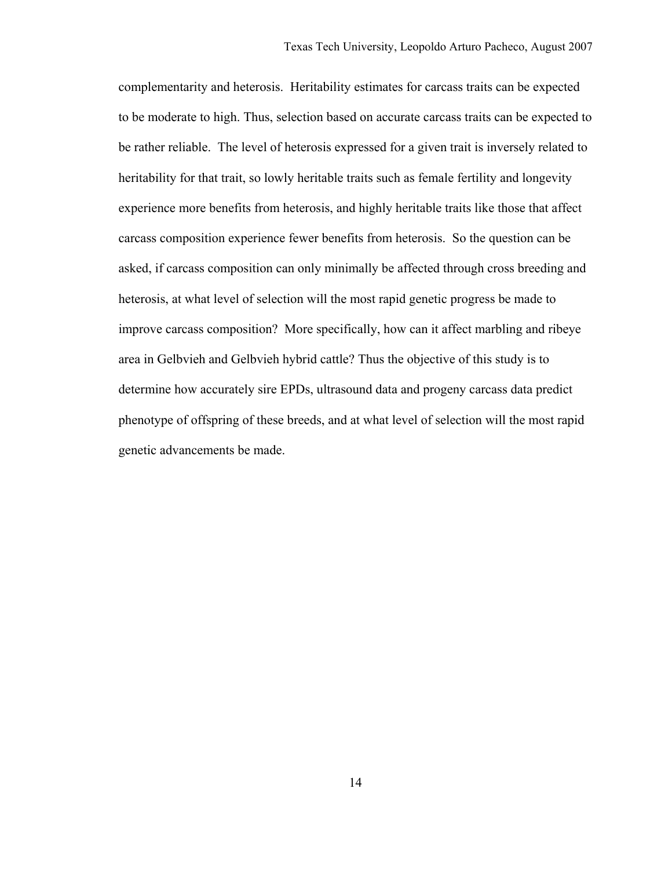complementarity and heterosis. Heritability estimates for carcass traits can be expected to be moderate to high. Thus, selection based on accurate carcass traits can be expected to be rather reliable. The level of heterosis expressed for a given trait is inversely related to heritability for that trait, so lowly heritable traits such as female fertility and longevity experience more benefits from heterosis, and highly heritable traits like those that affect carcass composition experience fewer benefits from heterosis. So the question can be asked, if carcass composition can only minimally be affected through cross breeding and heterosis, at what level of selection will the most rapid genetic progress be made to improve carcass composition? More specifically, how can it affect marbling and ribeye area in Gelbvieh and Gelbvieh hybrid cattle? Thus the objective of this study is to determine how accurately sire EPDs, ultrasound data and progeny carcass data predict phenotype of offspring of these breeds, and at what level of selection will the most rapid genetic advancements be made.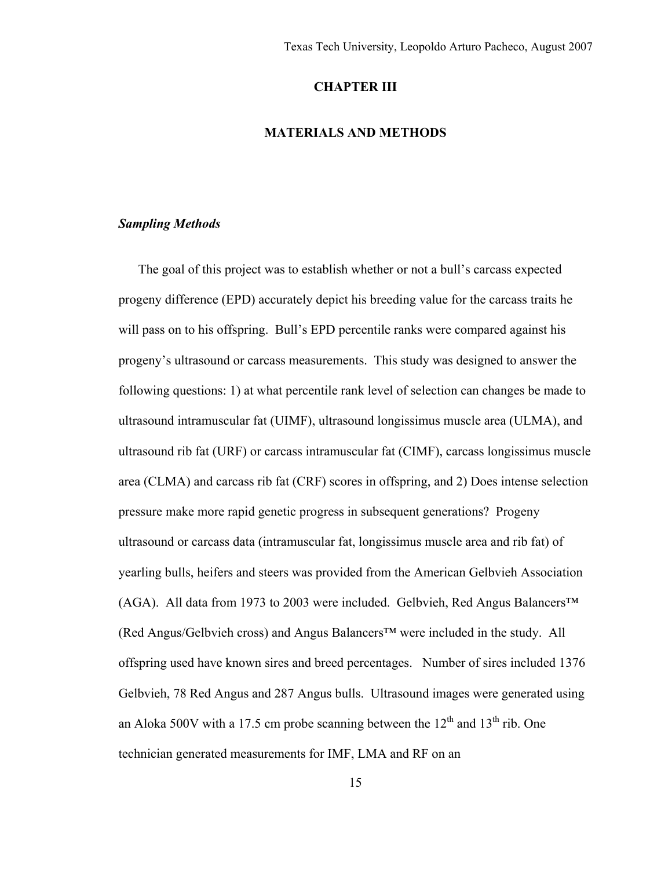# **CHAPTER III**

# **MATERIALS AND METHODS**

# *Sampling Methods*

 The goal of this project was to establish whether or not a bull's carcass expected progeny difference (EPD) accurately depict his breeding value for the carcass traits he will pass on to his offspring. Bull's EPD percentile ranks were compared against his progeny's ultrasound or carcass measurements. This study was designed to answer the following questions: 1) at what percentile rank level of selection can changes be made to ultrasound intramuscular fat (UIMF), ultrasound longissimus muscle area (ULMA), and ultrasound rib fat (URF) or carcass intramuscular fat (CIMF), carcass longissimus muscle area (CLMA) and carcass rib fat (CRF) scores in offspring, and 2) Does intense selection pressure make more rapid genetic progress in subsequent generations? Progeny ultrasound or carcass data (intramuscular fat, longissimus muscle area and rib fat) of yearling bulls, heifers and steers was provided from the American Gelbvieh Association (AGA). All data from 1973 to 2003 were included. Gelbvieh, Red Angus Balancers™ (Red Angus/Gelbvieh cross) and Angus Balancers™ were included in the study. All offspring used have known sires and breed percentages. Number of sires included 1376 Gelbvieh, 78 Red Angus and 287 Angus bulls. Ultrasound images were generated using an Aloka 500V with a 17.5 cm probe scanning between the  $12<sup>th</sup>$  and  $13<sup>th</sup>$  rib. One technician generated measurements for IMF, LMA and RF on an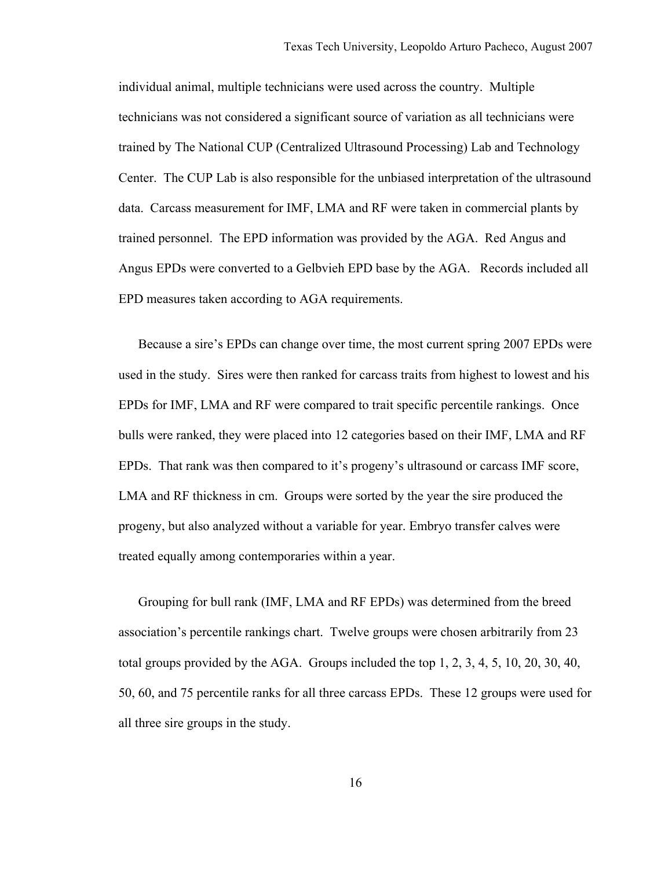individual animal, multiple technicians were used across the country. Multiple technicians was not considered a significant source of variation as all technicians were trained by The National CUP (Centralized Ultrasound Processing) Lab and Technology Center. The CUP Lab is also responsible for the unbiased interpretation of the ultrasound data. Carcass measurement for IMF, LMA and RF were taken in commercial plants by trained personnel. The EPD information was provided by the AGA. Red Angus and Angus EPDs were converted to a Gelbvieh EPD base by the AGA. Records included all EPD measures taken according to AGA requirements.

 Because a sire's EPDs can change over time, the most current spring 2007 EPDs were used in the study. Sires were then ranked for carcass traits from highest to lowest and his EPDs for IMF, LMA and RF were compared to trait specific percentile rankings. Once bulls were ranked, they were placed into 12 categories based on their IMF, LMA and RF EPDs. That rank was then compared to it's progeny's ultrasound or carcass IMF score, LMA and RF thickness in cm. Groups were sorted by the year the sire produced the progeny, but also analyzed without a variable for year. Embryo transfer calves were treated equally among contemporaries within a year.

 Grouping for bull rank (IMF, LMA and RF EPDs) was determined from the breed association's percentile rankings chart. Twelve groups were chosen arbitrarily from 23 total groups provided by the AGA. Groups included the top 1, 2, 3, 4, 5, 10, 20, 30, 40, 50, 60, and 75 percentile ranks for all three carcass EPDs. These 12 groups were used for all three sire groups in the study.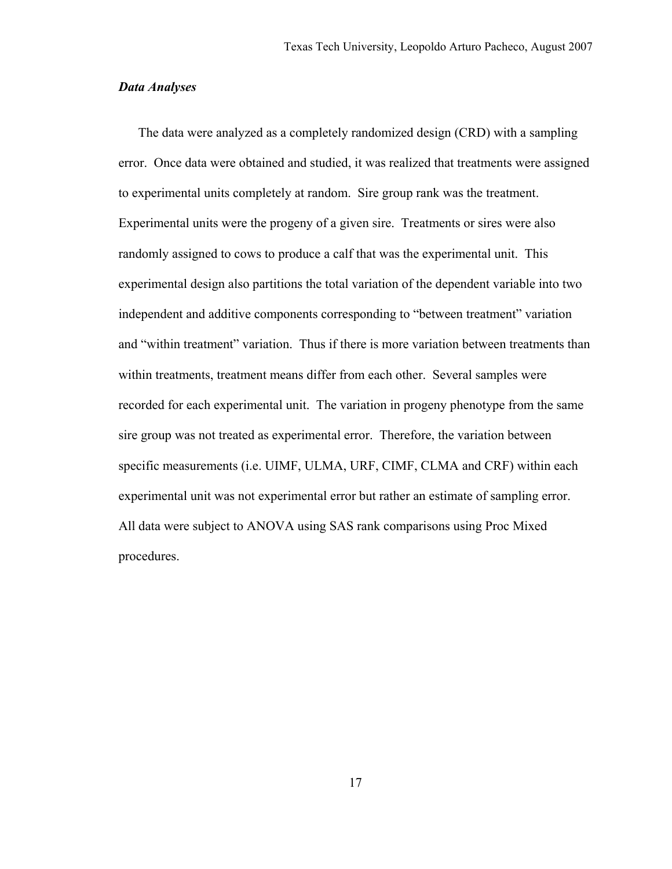#### *Data Analyses*

 The data were analyzed as a completely randomized design (CRD) with a sampling error. Once data were obtained and studied, it was realized that treatments were assigned to experimental units completely at random. Sire group rank was the treatment. Experimental units were the progeny of a given sire. Treatments or sires were also randomly assigned to cows to produce a calf that was the experimental unit. This experimental design also partitions the total variation of the dependent variable into two independent and additive components corresponding to "between treatment" variation and "within treatment" variation. Thus if there is more variation between treatments than within treatments, treatment means differ from each other. Several samples were recorded for each experimental unit. The variation in progeny phenotype from the same sire group was not treated as experimental error. Therefore, the variation between specific measurements (i.e. UIMF, ULMA, URF, CIMF, CLMA and CRF) within each experimental unit was not experimental error but rather an estimate of sampling error. All data were subject to ANOVA using SAS rank comparisons using Proc Mixed procedures.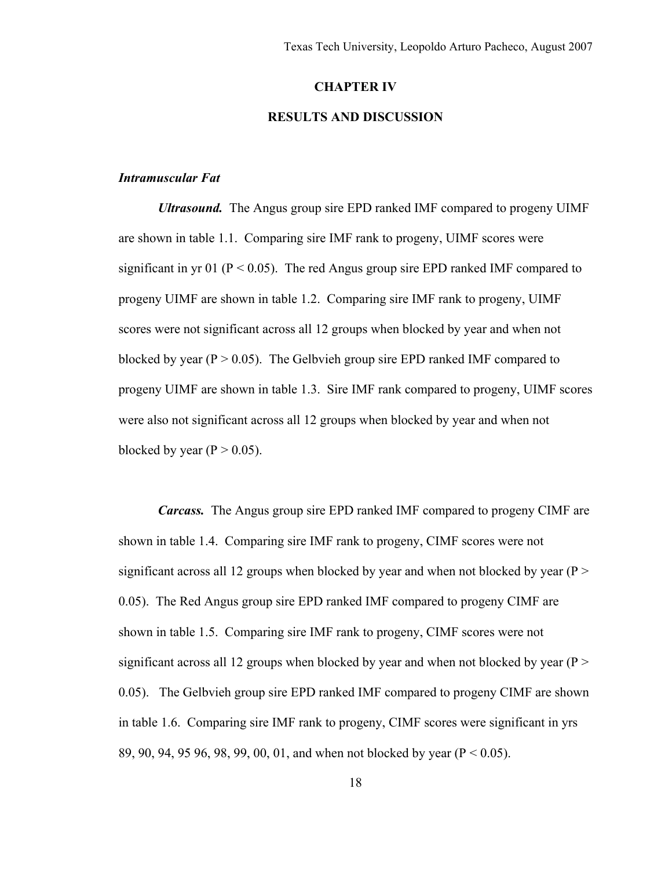#### **CHAPTER IV**

# **RESULTS AND DISCUSSION**

## *Intramuscular Fat*

 *Ultrasound.* The Angus group sire EPD ranked IMF compared to progeny UIMF are shown in table 1.1. Comparing sire IMF rank to progeny, UIMF scores were significant in yr 01 ( $P < 0.05$ ). The red Angus group sire EPD ranked IMF compared to progeny UIMF are shown in table 1.2. Comparing sire IMF rank to progeny, UIMF scores were not significant across all 12 groups when blocked by year and when not blocked by year ( $P > 0.05$ ). The Gelbyieh group sire EPD ranked IMF compared to progeny UIMF are shown in table 1.3. Sire IMF rank compared to progeny, UIMF scores were also not significant across all 12 groups when blocked by year and when not blocked by year  $(P > 0.05)$ .

*Carcass.* The Angus group sire EPD ranked IMF compared to progeny CIMF are shown in table 1.4. Comparing sire IMF rank to progeny, CIMF scores were not significant across all 12 groups when blocked by year and when not blocked by year ( $P >$ 0.05). The Red Angus group sire EPD ranked IMF compared to progeny CIMF are shown in table 1.5. Comparing sire IMF rank to progeny, CIMF scores were not significant across all 12 groups when blocked by year and when not blocked by year ( $P >$ 0.05). The Gelbvieh group sire EPD ranked IMF compared to progeny CIMF are shown in table 1.6. Comparing sire IMF rank to progeny, CIMF scores were significant in yrs 89, 90, 94, 95 96, 98, 99, 00, 01, and when not blocked by year (P < 0.05).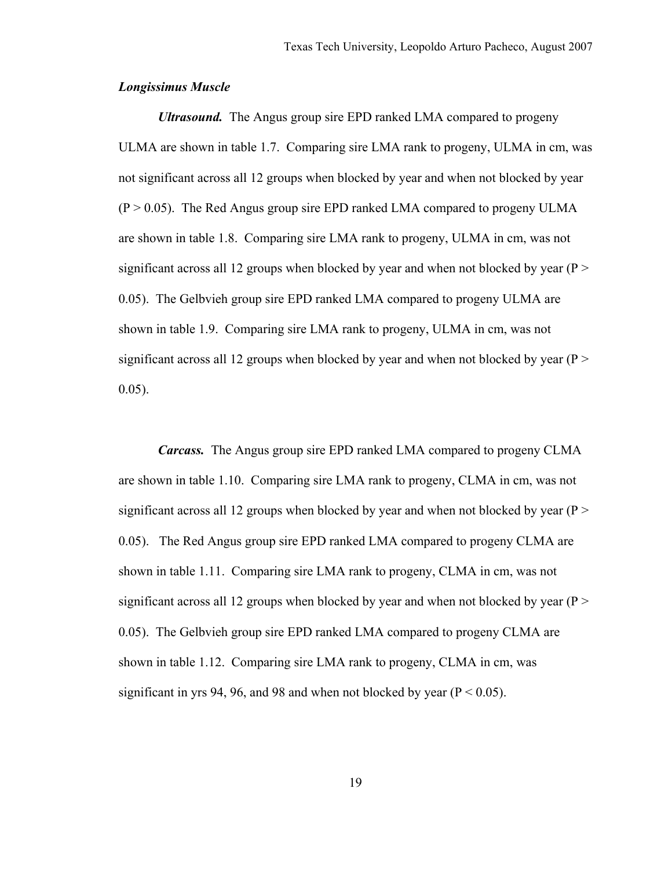## *Longissimus Muscle*

 *Ultrasound.* The Angus group sire EPD ranked LMA compared to progeny ULMA are shown in table 1.7. Comparing sire LMA rank to progeny, ULMA in cm, was not significant across all 12 groups when blocked by year and when not blocked by year  $(P > 0.05)$ . The Red Angus group sire EPD ranked LMA compared to progeny ULMA are shown in table 1.8. Comparing sire LMA rank to progeny, ULMA in cm, was not significant across all 12 groups when blocked by year and when not blocked by year ( $P >$ 0.05). The Gelbvieh group sire EPD ranked LMA compared to progeny ULMA are shown in table 1.9. Comparing sire LMA rank to progeny, ULMA in cm, was not significant across all 12 groups when blocked by year and when not blocked by year ( $P >$ 0.05).

 *Carcass.* The Angus group sire EPD ranked LMA compared to progeny CLMA are shown in table 1.10. Comparing sire LMA rank to progeny, CLMA in cm, was not significant across all 12 groups when blocked by year and when not blocked by year ( $P >$ 0.05). The Red Angus group sire EPD ranked LMA compared to progeny CLMA are shown in table 1.11. Comparing sire LMA rank to progeny, CLMA in cm, was not significant across all 12 groups when blocked by year and when not blocked by year ( $P >$ 0.05). The Gelbvieh group sire EPD ranked LMA compared to progeny CLMA are shown in table 1.12. Comparing sire LMA rank to progeny, CLMA in cm, was significant in yrs 94, 96, and 98 and when not blocked by year ( $P < 0.05$ ).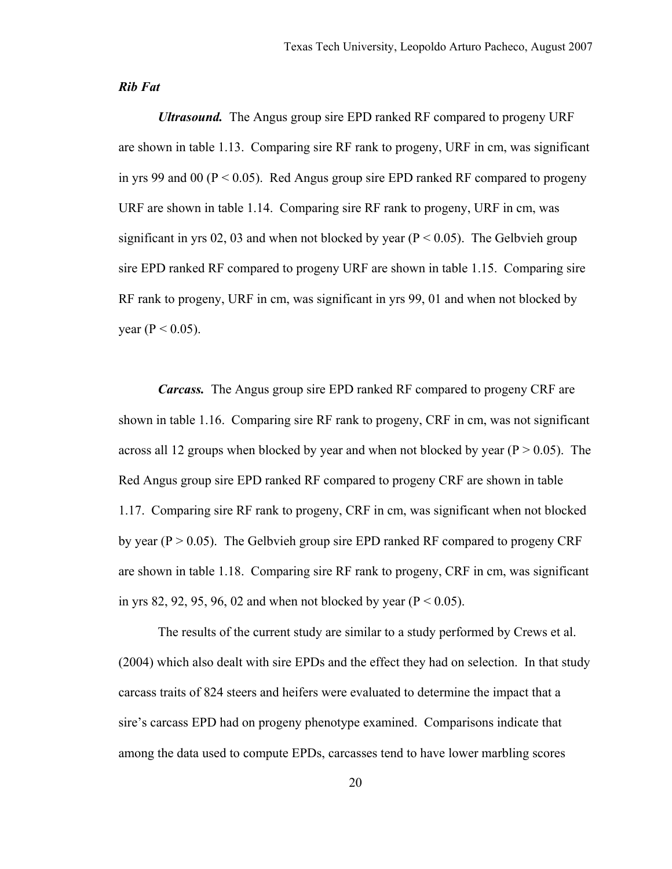#### *Rib Fat*

 *Ultrasound.* The Angus group sire EPD ranked RF compared to progeny URF are shown in table 1.13. Comparing sire RF rank to progeny, URF in cm, was significant in yrs 99 and 00 ( $P < 0.05$ ). Red Angus group sire EPD ranked RF compared to progeny URF are shown in table 1.14. Comparing sire RF rank to progeny, URF in cm, was significant in yrs 02, 03 and when not blocked by year ( $P < 0.05$ ). The Gelbvieh group sire EPD ranked RF compared to progeny URF are shown in table 1.15. Comparing sire RF rank to progeny, URF in cm, was significant in yrs 99, 01 and when not blocked by year ( $P < 0.05$ ).

 *Carcass.* The Angus group sire EPD ranked RF compared to progeny CRF are shown in table 1.16. Comparing sire RF rank to progeny, CRF in cm, was not significant across all 12 groups when blocked by year and when not blocked by year ( $P > 0.05$ ). The Red Angus group sire EPD ranked RF compared to progeny CRF are shown in table 1.17. Comparing sire RF rank to progeny, CRF in cm, was significant when not blocked by year ( $P > 0.05$ ). The Gelbvieh group sire EPD ranked RF compared to progeny CRF are shown in table 1.18. Comparing sire RF rank to progeny, CRF in cm, was significant in yrs 82, 92, 95, 96, 02 and when not blocked by year ( $P < 0.05$ ).

 The results of the current study are similar to a study performed by Crews et al. (2004) which also dealt with sire EPDs and the effect they had on selection. In that study carcass traits of 824 steers and heifers were evaluated to determine the impact that a sire's carcass EPD had on progeny phenotype examined. Comparisons indicate that among the data used to compute EPDs, carcasses tend to have lower marbling scores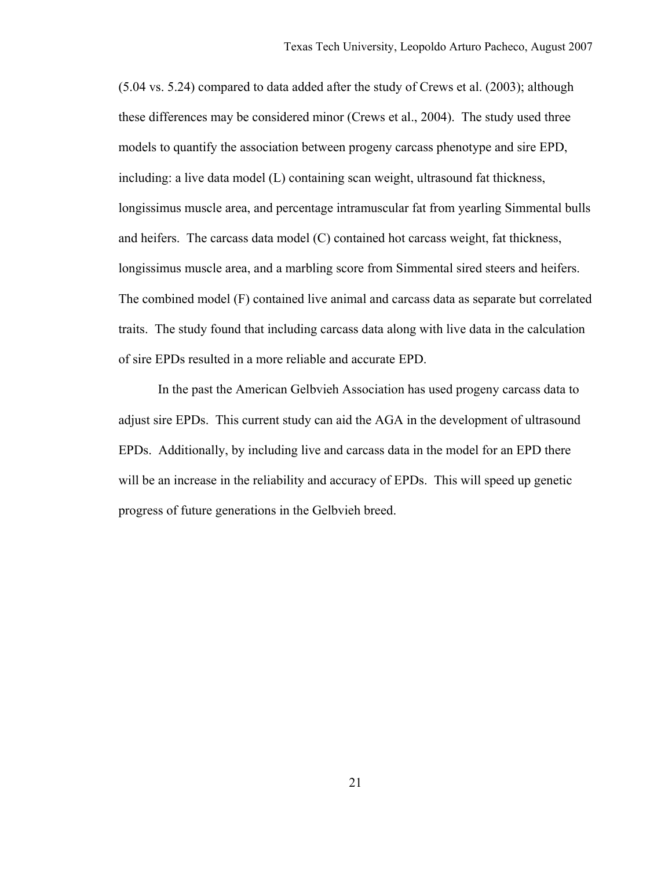(5.04 vs. 5.24) compared to data added after the study of Crews et al. (2003); although these differences may be considered minor (Crews et al., 2004). The study used three models to quantify the association between progeny carcass phenotype and sire EPD, including: a live data model (L) containing scan weight, ultrasound fat thickness, longissimus muscle area, and percentage intramuscular fat from yearling Simmental bulls and heifers. The carcass data model (C) contained hot carcass weight, fat thickness, longissimus muscle area, and a marbling score from Simmental sired steers and heifers. The combined model (F) contained live animal and carcass data as separate but correlated traits. The study found that including carcass data along with live data in the calculation of sire EPDs resulted in a more reliable and accurate EPD.

 In the past the American Gelbvieh Association has used progeny carcass data to adjust sire EPDs. This current study can aid the AGA in the development of ultrasound EPDs. Additionally, by including live and carcass data in the model for an EPD there will be an increase in the reliability and accuracy of EPDs. This will speed up genetic progress of future generations in the Gelbvieh breed.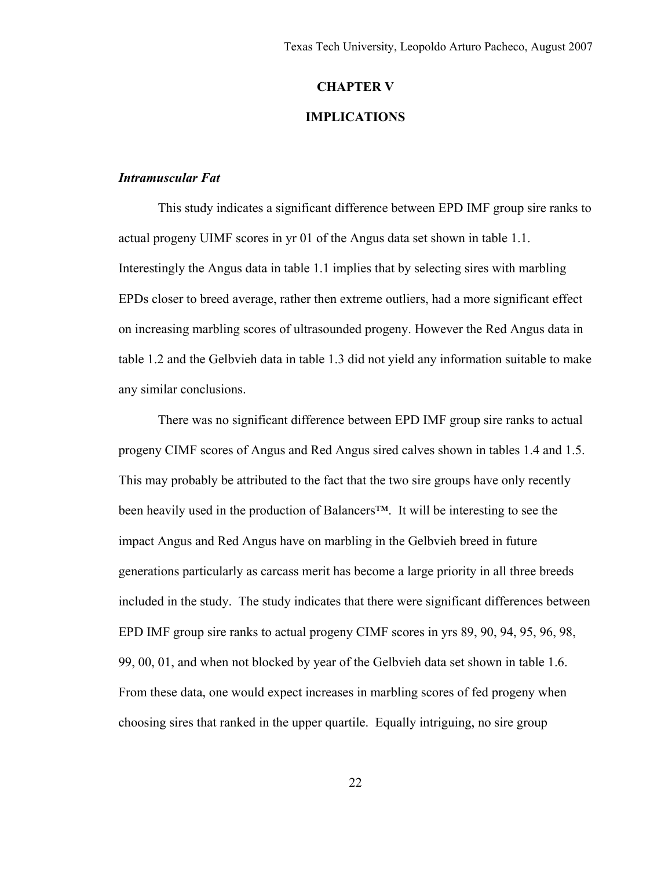#### **CHAPTER V**

# **IMPLICATIONS**

## *Intramuscular Fat*

 This study indicates a significant difference between EPD IMF group sire ranks to actual progeny UIMF scores in yr 01 of the Angus data set shown in table 1.1. Interestingly the Angus data in table 1.1 implies that by selecting sires with marbling EPDs closer to breed average, rather then extreme outliers, had a more significant effect on increasing marbling scores of ultrasounded progeny. However the Red Angus data in table 1.2 and the Gelbvieh data in table 1.3 did not yield any information suitable to make any similar conclusions.

 There was no significant difference between EPD IMF group sire ranks to actual progeny CIMF scores of Angus and Red Angus sired calves shown in tables 1.4 and 1.5. This may probably be attributed to the fact that the two sire groups have only recently been heavily used in the production of Balancers™. It will be interesting to see the impact Angus and Red Angus have on marbling in the Gelbvieh breed in future generations particularly as carcass merit has become a large priority in all three breeds included in the study. The study indicates that there were significant differences between EPD IMF group sire ranks to actual progeny CIMF scores in yrs 89, 90, 94, 95, 96, 98, 99, 00, 01, and when not blocked by year of the Gelbvieh data set shown in table 1.6. From these data, one would expect increases in marbling scores of fed progeny when choosing sires that ranked in the upper quartile. Equally intriguing, no sire group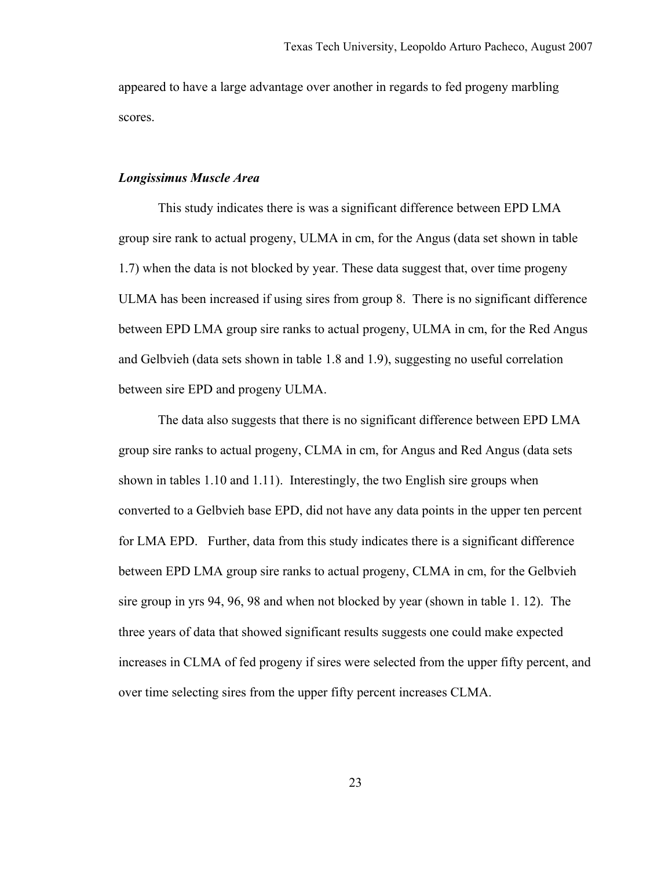appeared to have a large advantage over another in regards to fed progeny marbling scores.

#### *Longissimus Muscle Area*

 This study indicates there is was a significant difference between EPD LMA group sire rank to actual progeny, ULMA in cm, for the Angus (data set shown in table 1.7) when the data is not blocked by year. These data suggest that, over time progeny ULMA has been increased if using sires from group 8. There is no significant difference between EPD LMA group sire ranks to actual progeny, ULMA in cm, for the Red Angus and Gelbvieh (data sets shown in table 1.8 and 1.9), suggesting no useful correlation between sire EPD and progeny ULMA.

 The data also suggests that there is no significant difference between EPD LMA group sire ranks to actual progeny, CLMA in cm, for Angus and Red Angus (data sets shown in tables 1.10 and 1.11). Interestingly, the two English sire groups when converted to a Gelbvieh base EPD, did not have any data points in the upper ten percent for LMA EPD. Further, data from this study indicates there is a significant difference between EPD LMA group sire ranks to actual progeny, CLMA in cm, for the Gelbvieh sire group in yrs 94, 96, 98 and when not blocked by year (shown in table 1. 12). The three years of data that showed significant results suggests one could make expected increases in CLMA of fed progeny if sires were selected from the upper fifty percent, and over time selecting sires from the upper fifty percent increases CLMA.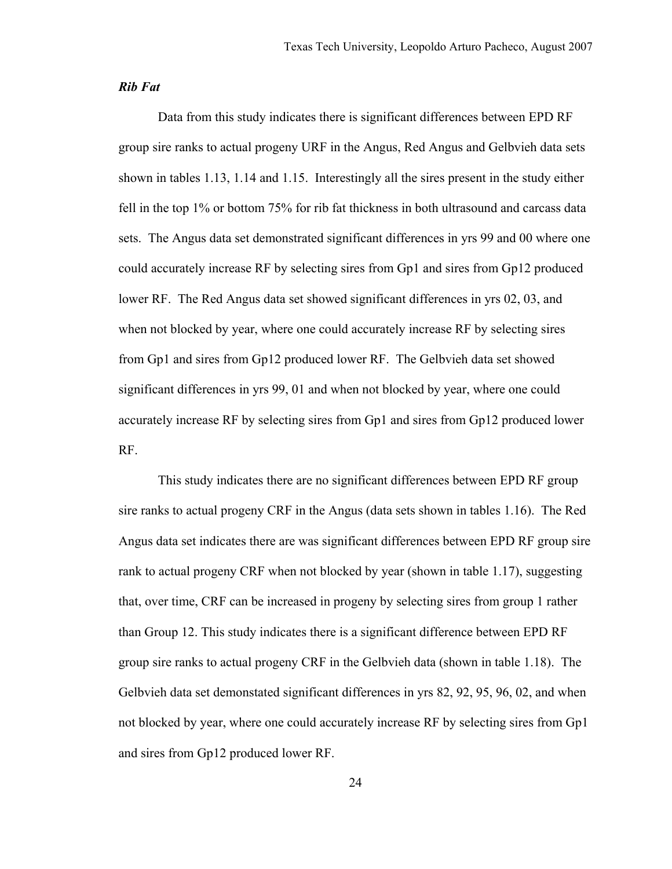#### *Rib Fat*

 Data from this study indicates there is significant differences between EPD RF group sire ranks to actual progeny URF in the Angus, Red Angus and Gelbvieh data sets shown in tables 1.13, 1.14 and 1.15. Interestingly all the sires present in the study either fell in the top 1% or bottom 75% for rib fat thickness in both ultrasound and carcass data sets. The Angus data set demonstrated significant differences in yrs 99 and 00 where one could accurately increase RF by selecting sires from Gp1 and sires from Gp12 produced lower RF. The Red Angus data set showed significant differences in yrs 02, 03, and when not blocked by year, where one could accurately increase RF by selecting sires from Gp1 and sires from Gp12 produced lower RF. The Gelbvieh data set showed significant differences in yrs 99, 01 and when not blocked by year, where one could accurately increase RF by selecting sires from Gp1 and sires from Gp12 produced lower RF.

 This study indicates there are no significant differences between EPD RF group sire ranks to actual progeny CRF in the Angus (data sets shown in tables 1.16). The Red Angus data set indicates there are was significant differences between EPD RF group sire rank to actual progeny CRF when not blocked by year (shown in table 1.17), suggesting that, over time, CRF can be increased in progeny by selecting sires from group 1 rather than Group 12. This study indicates there is a significant difference between EPD RF group sire ranks to actual progeny CRF in the Gelbvieh data (shown in table 1.18). The Gelbvieh data set demonstated significant differences in yrs 82, 92, 95, 96, 02, and when not blocked by year, where one could accurately increase RF by selecting sires from Gp1 and sires from Gp12 produced lower RF.

24 and 24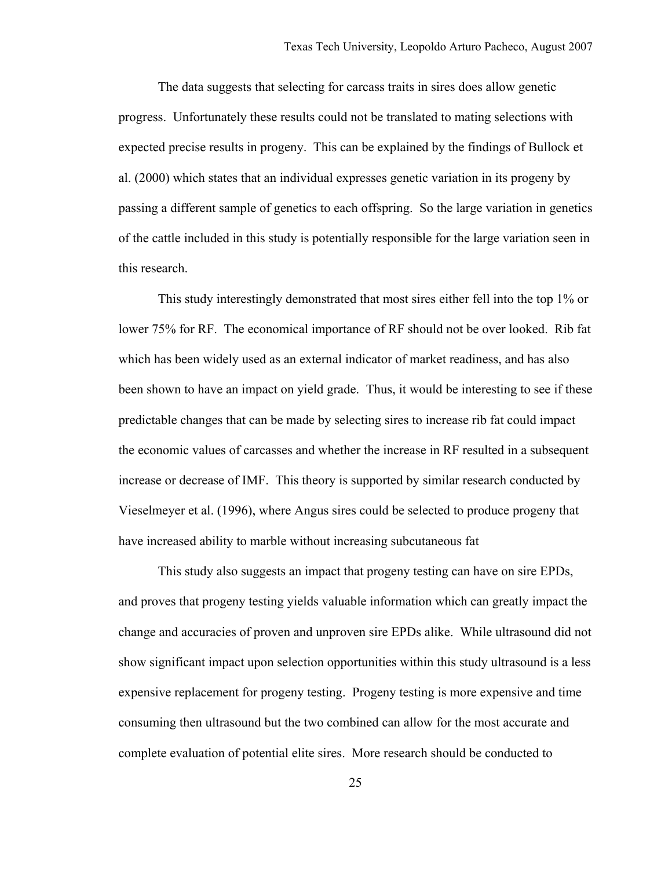The data suggests that selecting for carcass traits in sires does allow genetic progress. Unfortunately these results could not be translated to mating selections with expected precise results in progeny. This can be explained by the findings of Bullock et al. (2000) which states that an individual expresses genetic variation in its progeny by passing a different sample of genetics to each offspring. So the large variation in genetics of the cattle included in this study is potentially responsible for the large variation seen in this research.

 This study interestingly demonstrated that most sires either fell into the top 1% or lower 75% for RF. The economical importance of RF should not be over looked. Rib fat which has been widely used as an external indicator of market readiness, and has also been shown to have an impact on yield grade. Thus, it would be interesting to see if these predictable changes that can be made by selecting sires to increase rib fat could impact the economic values of carcasses and whether the increase in RF resulted in a subsequent increase or decrease of IMF. This theory is supported by similar research conducted by Vieselmeyer et al. (1996), where Angus sires could be selected to produce progeny that have increased ability to marble without increasing subcutaneous fat

 This study also suggests an impact that progeny testing can have on sire EPDs, and proves that progeny testing yields valuable information which can greatly impact the change and accuracies of proven and unproven sire EPDs alike. While ultrasound did not show significant impact upon selection opportunities within this study ultrasound is a less expensive replacement for progeny testing. Progeny testing is more expensive and time consuming then ultrasound but the two combined can allow for the most accurate and complete evaluation of potential elite sires. More research should be conducted to

25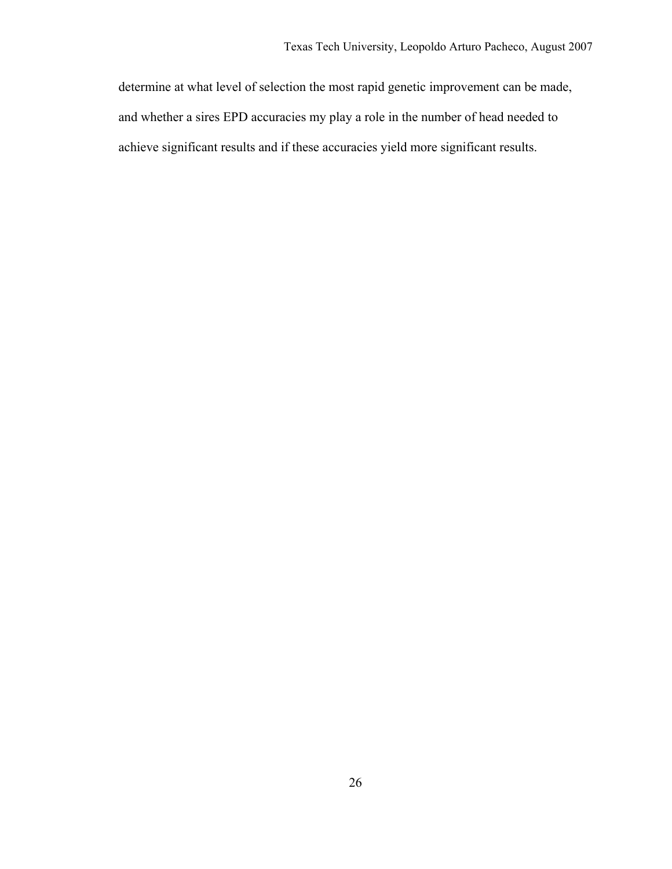determine at what level of selection the most rapid genetic improvement can be made, and whether a sires EPD accuracies my play a role in the number of head needed to achieve significant results and if these accuracies yield more significant results.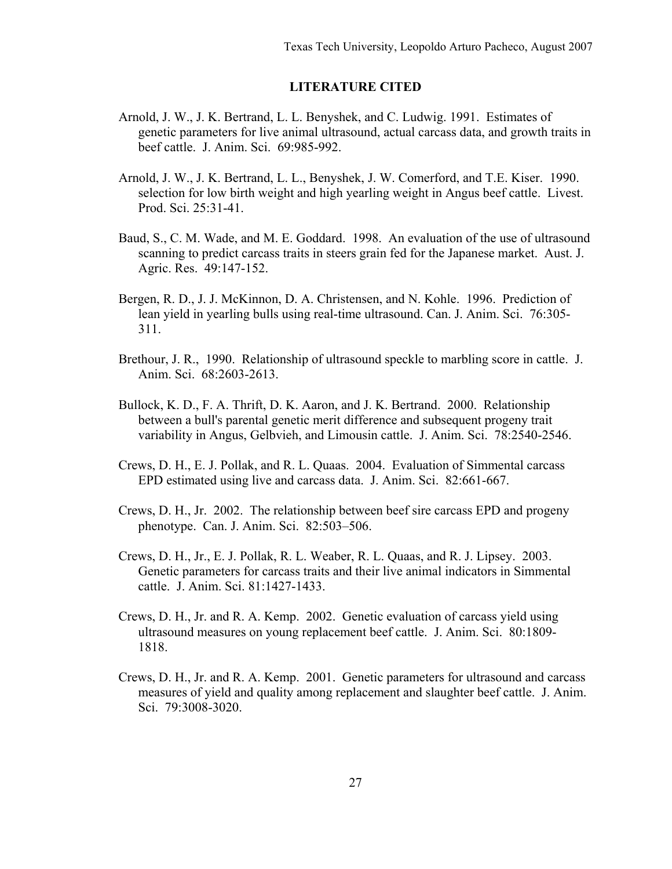# **LITERATURE CITED**

- Arnold, J. W., J. K. Bertrand, L. L. Benyshek, and C. Ludwig. 1991. Estimates of genetic parameters for live animal ultrasound, actual carcass data, and growth traits in beef cattle. J. Anim. Sci. 69:985-992.
- Arnold, J. W., J. K. Bertrand, L. L., Benyshek, J. W. Comerford, and T.E. Kiser. 1990. selection for low birth weight and high yearling weight in Angus beef cattle. Livest. Prod. Sci. 25:31-41.
- Baud, S., C. M. Wade, and M. E. Goddard. 1998. An evaluation of the use of ultrasound scanning to predict carcass traits in steers grain fed for the Japanese market. Aust. J. Agric. Res. 49:147-152.
- Bergen, R. D., J. J. McKinnon, D. A. Christensen, and N. Kohle. 1996. Prediction of lean yield in yearling bulls using real-time ultrasound. Can. J. Anim. Sci. 76:305- 311.
- Brethour, J. R., 1990. Relationship of ultrasound speckle to marbling score in cattle. J. Anim. Sci. 68:2603-2613.
- Bullock, K. D., F. A. Thrift, D. K. Aaron, and J. K. Bertrand. 2000. Relationship between a bull's parental genetic merit difference and subsequent progeny trait variability in Angus, Gelbvieh, and Limousin cattle. J. Anim. Sci. 78:2540-2546.
- Crews, D. H., E. J. Pollak, and R. L. Quaas. 2004.Evaluation of Simmental carcass EPD estimated using live and carcass data. J. Anim. Sci. 82:661-667.
- Crews, D. H., Jr. 2002. The relationship between beef sire carcass EPD and progeny phenotype. Can. J. Anim. Sci. 82:503–506.
- Crews, D. H., Jr., E. J. Pollak, R. L. Weaber, R. L. Quaas, and R. J. Lipsey. 2003. Genetic parameters for carcass traits and their live animal indicators in Simmental cattle. J. Anim. Sci. 81:1427-1433.
- Crews, D. H., Jr. and R. A. Kemp. 2002. Genetic evaluation of carcass yield using ultrasound measures on young replacement beef cattle. J. Anim. Sci. 80:1809- 1818.
- Crews, D. H., Jr. and R. A. Kemp. 2001. Genetic parameters for ultrasound and carcass measures of yield and quality among replacement and slaughter beef cattle. J. Anim. Sci. 79:3008-3020.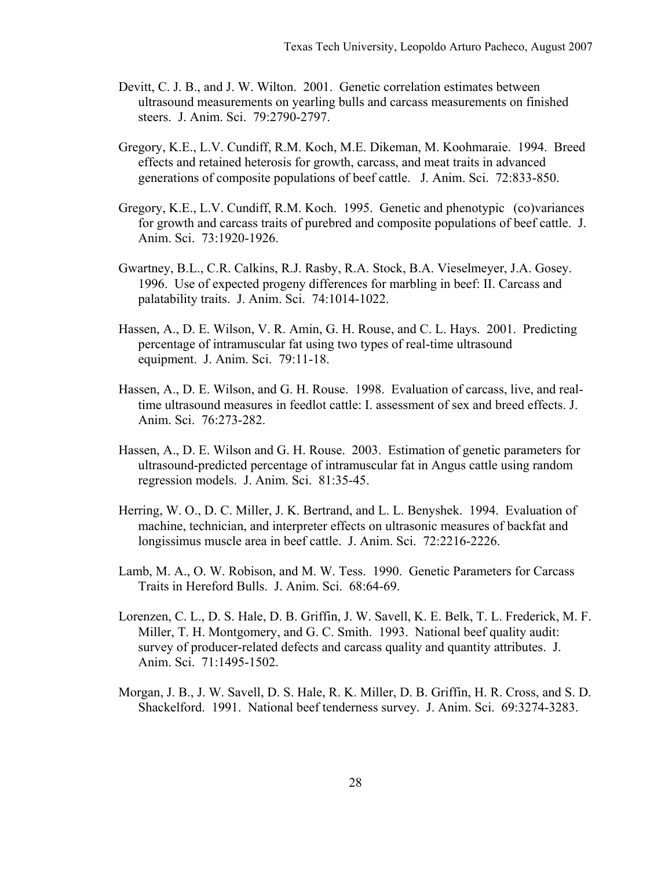- Devitt, C. J. B., and J. W. Wilton. 2001. Genetic correlation estimates between ultrasound measurements on yearling bulls and carcass measurements on finished steers. J. Anim. Sci. 79:2790-2797.
- Gregory, K.E., L.V. Cundiff, R.M. Koch, M.E. Dikeman, M. Koohmaraie. 1994. Breed effects and retained heterosis for growth, carcass, and meat traits in advanced generations of composite populations of beef cattle. J. Anim. Sci. 72:833-850.
- Gregory, K.E., L.V. Cundiff, R.M. Koch. 1995. Genetic and phenotypic (co)variances for growth and carcass traits of purebred and composite populations of beef cattle. J. Anim. Sci. 73:1920-1926.
- Gwartney, B.L., C.R. Calkins, R.J. Rasby, R.A. Stock, B.A. Vieselmeyer, J.A. Gosey. 1996. Use of expected progeny differences for marbling in beef: II. Carcass and palatability traits. J. Anim. Sci. 74:1014-1022.
- Hassen, A., D. E. Wilson, V. R. Amin, G. H. Rouse, and C. L. Hays. 2001. Predicting percentage of intramuscular fat using two types of real-time ultrasound equipment.J. Anim. Sci. 79:11-18.
- Hassen, A., D. E. Wilson, and G. H. Rouse. 1998. Evaluation of carcass, live, and real time ultrasound measures in feedlot cattle: I. assessment of sex and breed effects. J. Anim. Sci. 76:273-282.
- Hassen, A., D. E. Wilson and G. H. Rouse. 2003. Estimation of genetic parameters for ultrasound-predicted percentage of intramuscular fat in Angus cattle using random regression models. J. Anim. Sci. 81:35-45.
- Herring, W. O., D. C. Miller, J. K. Bertrand, and L. L. Benyshek. 1994.Evaluation of machine, technician, and interpreter effects on ultrasonic measures of backfat and longissimus muscle area in beef cattle.J. Anim. Sci. 72:2216-2226.
- Lamb, M. A., O. W. Robison, and M. W. Tess. 1990. Genetic Parameters for Carcass Traits in Hereford Bulls.J. Anim. Sci. 68:64-69.
- Lorenzen, C. L., D. S. Hale, D. B. Griffin, J. W. Savell, K. E. Belk, T. L. Frederick, M. F. Miller, T. H. Montgomery, and G. C. Smith. 1993. National beef quality audit: survey of producer-related defects and carcass quality and quantity attributes. J. Anim. Sci. 71:1495-1502.
- Morgan, J. B., J. W. Savell, D. S. Hale, R. K. Miller, D. B. Griffin, H. R. Cross, and S. D. Shackelford. 1991. National beef tenderness survey. J. Anim. Sci. 69:3274-3283.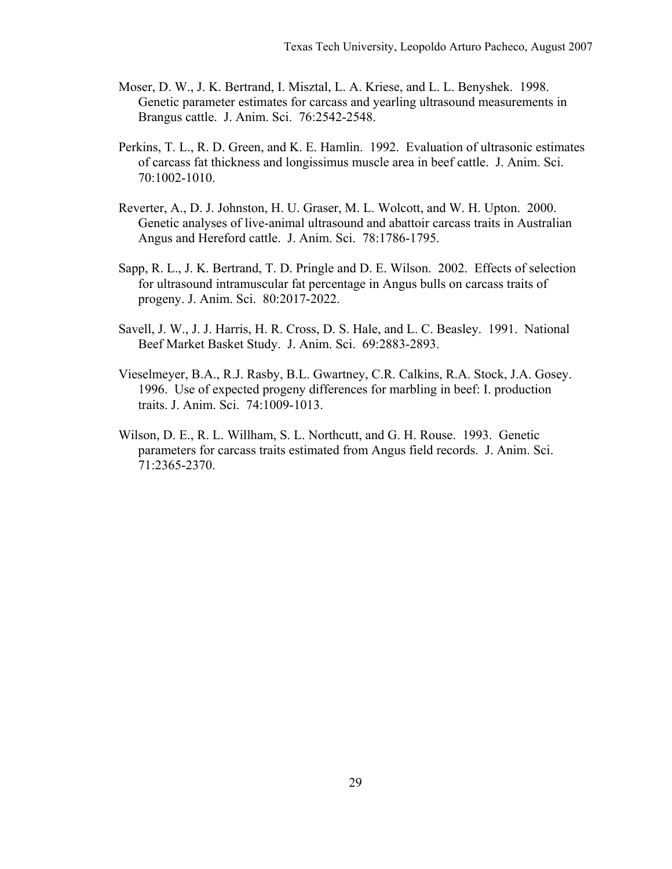- Moser, D. W., J. K. Bertrand, I. Misztal, L. A. Kriese, and L. L. Benyshek. 1998. Genetic parameter estimates for carcass and yearling ultrasound measurements in Brangus cattle. J. Anim. Sci. 76:2542-2548.
- Perkins, T. L., R. D. Green, and K. E. Hamlin. 1992. Evaluation of ultrasonic estimates of carcass fat thickness and longissimus muscle area in beef cattle. J. Anim. Sci. 70:1002-1010.
- Reverter, A., D. J. Johnston, H. U. Graser, M. L. Wolcott, and W. H. Upton. 2000. Genetic analyses of live-animal ultrasound and abattoir carcass traits in Australian Angus and Hereford cattle. J. Anim. Sci. 78:1786-1795.
- Sapp, R. L., J. K. Bertrand, T. D. Pringle and D. E. Wilson. 2002. Effects of selection for ultrasound intramuscular fat percentage in Angus bulls on carcass traits of progeny. J. Anim. Sci. 80:2017-2022.
- Savell, J. W., J. J. Harris, H. R. Cross, D. S. Hale, and L. C. Beasley. 1991. National Beef Market Basket Study. J. Anim. Sci. 69:2883-2893.
- Vieselmeyer, B.A., R.J. Rasby, B.L. Gwartney, C.R. Calkins, R.A. Stock, J.A. Gosey. 1996. Use of expected progeny differences for marbling in beef: I. production traits. J. Anim. Sci. 74:1009-1013.
- Wilson, D. E., R. L. Willham, S. L. Northcutt, and G. H. Rouse. 1993. Genetic parameters for carcass traits estimated from Angus field records. J. Anim. Sci. 71:2365-2370.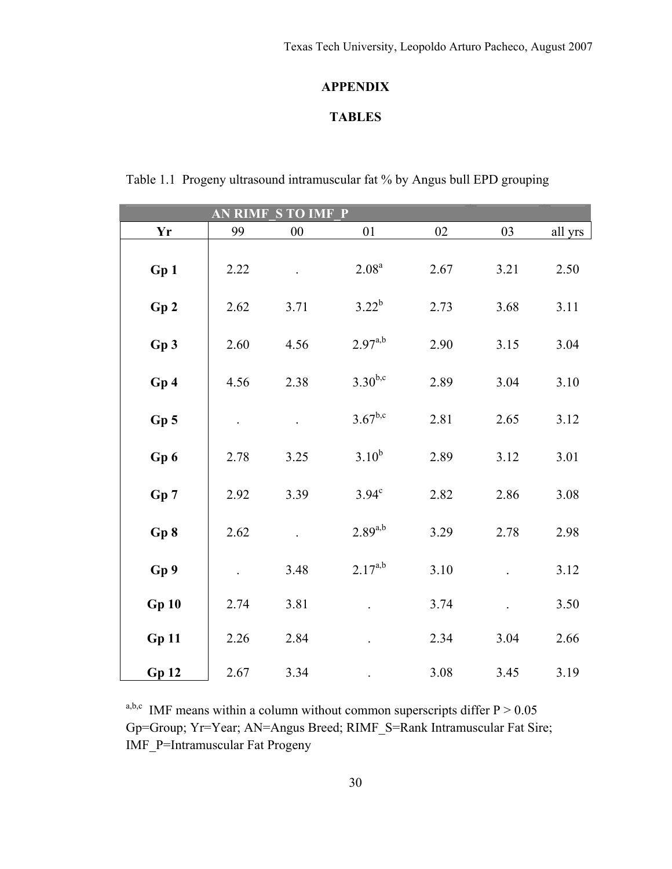# **APPENDIX**

# **TABLES**

| Table 1.1 Progeny ultrasound intramuscular fat % by Angus bull EPD grouping |  |  |
|-----------------------------------------------------------------------------|--|--|
|                                                                             |  |  |

|                 |      | <b>AN RIMF S TO IMF P</b> |                   |      |      |         |
|-----------------|------|---------------------------|-------------------|------|------|---------|
| Yr              | 99   | 00                        | 01                | 02   | 03   | all yrs |
| Gp1             | 2.22 |                           | 2.08 <sup>a</sup> | 2.67 | 3.21 | 2.50    |
| Gp2             | 2.62 | 3.71                      | $3.22^{b}$        | 2.73 | 3.68 | 3.11    |
| Gp3             | 2.60 | 4.56                      | $2.97^{a,b}$      | 2.90 | 3.15 | 3.04    |
| Gp4             | 4.56 | 2.38                      | $3.30^{b,c}$      | 2.89 | 3.04 | 3.10    |
| Gp <sub>5</sub> |      |                           | $3.67^{b,c}$      | 2.81 | 2.65 | 3.12    |
| Gp 6            | 2.78 | 3.25                      | $3.10^{b}$        | 2.89 | 3.12 | 3.01    |
| Gp7             | 2.92 | 3.39                      | $3.94^\circ$      | 2.82 | 2.86 | 3.08    |
| Gp 8            | 2.62 |                           | $2.89^{a,b}$      | 3.29 | 2.78 | 2.98    |
| Gp 9            |      | 3.48                      | $2.17^{a,b}$      | 3.10 |      | 3.12    |
| Gp10            | 2.74 | 3.81                      |                   | 3.74 |      | 3.50    |
| Gp11            | 2.26 | 2.84                      |                   | 2.34 | 3.04 | 2.66    |
| Gp12            | 2.67 | 3.34                      |                   | 3.08 | 3.45 | 3.19    |

<sup>a,b,c</sup> IMF means within a column without common superscripts differ  $P > 0.05$ Gp=Group; Yr=Year; AN=Angus Breed; RIMF\_S=Rank Intramuscular Fat Sire; IMF\_P=Intramuscular Fat Progeny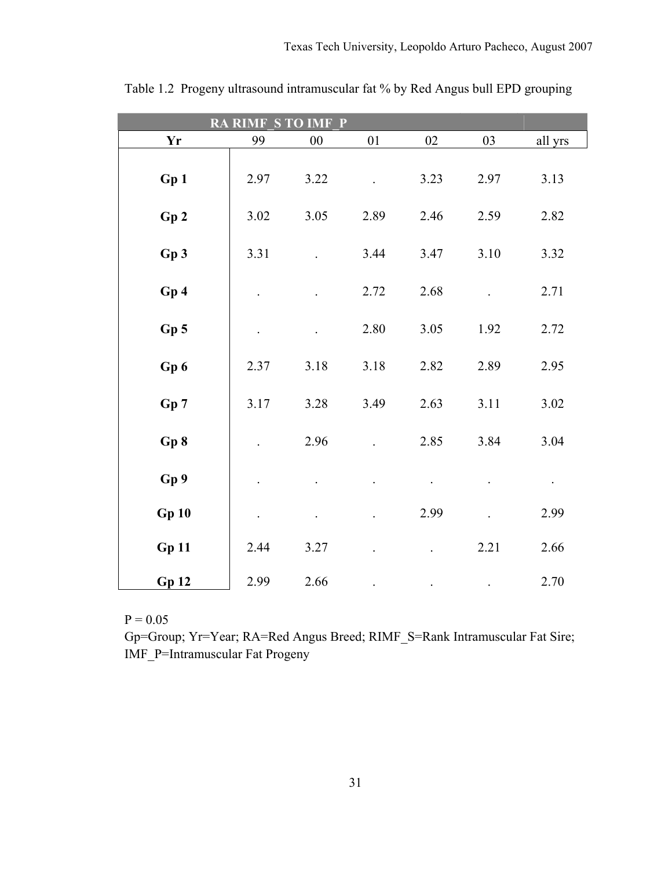|                 | <b>RA RIMF S TO IMF P</b> |        |      |      |      |           |
|-----------------|---------------------------|--------|------|------|------|-----------|
| Yr              | 99                        | $00\,$ | 01   | 02   | 03   | all yrs   |
| Gp1             | 2.97                      | 3.22   |      | 3.23 | 2.97 | 3.13      |
| Gp2             | 3.02                      | 3.05   | 2.89 | 2.46 | 2.59 | 2.82      |
| Gp3             | 3.31                      |        | 3.44 | 3.47 | 3.10 | 3.32      |
| Gp4             | $\Box$                    |        | 2.72 | 2.68 |      | 2.71      |
| Gp <sub>5</sub> |                           |        | 2.80 | 3.05 | 1.92 | 2.72      |
| Gp6             | 2.37                      | 3.18   | 3.18 | 2.82 | 2.89 | 2.95      |
| Gp 7            | 3.17                      | 3.28   | 3.49 | 2.63 | 3.11 | 3.02      |
| Gp 8            |                           | 2.96   |      | 2.85 | 3.84 | 3.04      |
| Gp 9            |                           |        |      |      |      | $\bullet$ |
| Gp10            | $\ddot{\phantom{0}}$      |        |      | 2.99 |      | 2.99      |
| Gp11            | 2.44                      | 3.27   |      |      | 2.21 | 2.66      |
| <b>Gp 12</b>    | 2.99                      | 2.66   |      |      |      | 2.70      |

Table 1.2 Progeny ultrasound intramuscular fat % by Red Angus bull EPD grouping

Gp=Group; Yr=Year; RA=Red Angus Breed; RIMF\_S=Rank Intramuscular Fat Sire; IMF\_P=Intramuscular Fat Progeny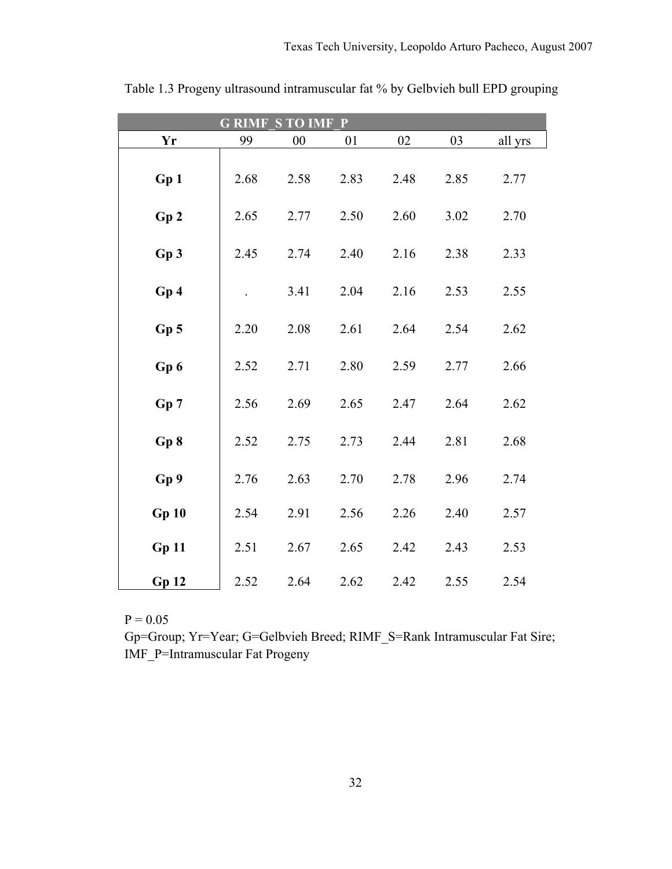| <b>GRIMF STOIMF</b><br>$\mathbf{P}$ |      |        |      |      |      |         |  |  |  |  |  |  |
|-------------------------------------|------|--------|------|------|------|---------|--|--|--|--|--|--|
| Yr                                  | 99   | $00\,$ | 01   | 02   | 03   | all yrs |  |  |  |  |  |  |
| Gp1                                 | 2.68 | 2.58   | 2.83 | 2.48 | 2.85 | 2.77    |  |  |  |  |  |  |
| Gp2                                 | 2.65 | 2.77   | 2.50 | 2.60 | 3.02 | 2.70    |  |  |  |  |  |  |
| Gp3                                 | 2.45 | 2.74   | 2.40 | 2.16 | 2.38 | 2.33    |  |  |  |  |  |  |
| Gp4                                 |      | 3.41   | 2.04 | 2.16 | 2.53 | 2.55    |  |  |  |  |  |  |
| Gp <sub>5</sub>                     | 2.20 | 2.08   | 2.61 | 2.64 | 2.54 | 2.62    |  |  |  |  |  |  |
| Gp 6                                | 2.52 | 2.71   | 2.80 | 2.59 | 2.77 | 2.66    |  |  |  |  |  |  |
| Gp 7                                | 2.56 | 2.69   | 2.65 | 2.47 | 2.64 | 2.62    |  |  |  |  |  |  |
| Gp8                                 | 2.52 | 2.75   | 2.73 | 2.44 | 2.81 | 2.68    |  |  |  |  |  |  |
| Gp 9                                | 2.76 | 2.63   | 2.70 | 2.78 | 2.96 | 2.74    |  |  |  |  |  |  |
| Gp10                                | 2.54 | 2.91   | 2.56 | 2.26 | 2.40 | 2.57    |  |  |  |  |  |  |
| Gp11                                | 2.51 | 2.67   | 2.65 | 2.42 | 2.43 | 2.53    |  |  |  |  |  |  |
| <b>Gp 12</b>                        | 2.52 | 2.64   | 2.62 | 2.42 | 2.55 | 2.54    |  |  |  |  |  |  |

Table 1.3 Progeny ultrasound intramuscular fat % by Gelbvieh bull EPD grouping

Gp=Group; Yr=Year; G=Gelbvieh Breed; RIMF\_S=Rank Intramuscular Fat Sire; IMF\_P=Intramuscular Fat Progeny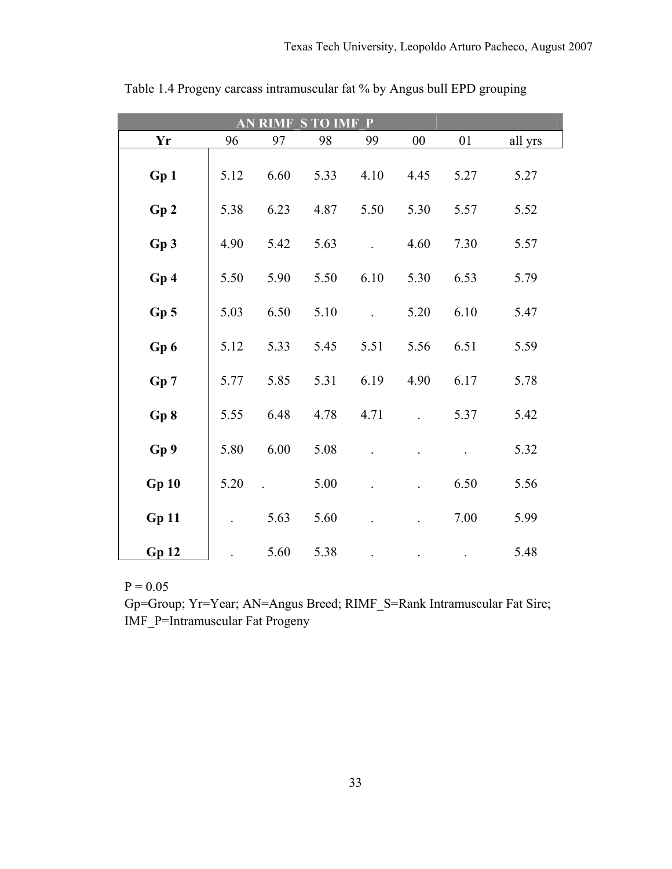| $\mathbf{P}$<br><b>S TO IMF</b><br><b>AN RIMF</b> |      |      |      |      |      |      |         |  |  |  |  |  |
|---------------------------------------------------|------|------|------|------|------|------|---------|--|--|--|--|--|
| Yr                                                | 96   | 97   | 98   | 99   | 00   | 01   | all yrs |  |  |  |  |  |
| Gp1                                               | 5.12 | 6.60 | 5.33 | 4.10 | 4.45 | 5.27 | 5.27    |  |  |  |  |  |
| Gp2                                               | 5.38 | 6.23 | 4.87 | 5.50 | 5.30 | 5.57 | 5.52    |  |  |  |  |  |
| Gp3                                               | 4.90 | 5.42 | 5.63 |      | 4.60 | 7.30 | 5.57    |  |  |  |  |  |
| Gp4                                               | 5.50 | 5.90 | 5.50 | 6.10 | 5.30 | 6.53 | 5.79    |  |  |  |  |  |
| Gp <sub>5</sub>                                   | 5.03 | 6.50 | 5.10 |      | 5.20 | 6.10 | 5.47    |  |  |  |  |  |
| Gp6                                               | 5.12 | 5.33 | 5.45 | 5.51 | 5.56 | 6.51 | 5.59    |  |  |  |  |  |
| Gp 7                                              | 5.77 | 5.85 | 5.31 | 6.19 | 4.90 | 6.17 | 5.78    |  |  |  |  |  |
| Gp8                                               | 5.55 | 6.48 | 4.78 | 4.71 |      | 5.37 | 5.42    |  |  |  |  |  |
| Gp 9                                              | 5.80 | 6.00 | 5.08 |      |      |      | 5.32    |  |  |  |  |  |
| Gp10                                              | 5.20 |      | 5.00 |      |      | 6.50 | 5.56    |  |  |  |  |  |
| Gp11                                              |      | 5.63 | 5.60 |      |      | 7.00 | 5.99    |  |  |  |  |  |
| <b>Gp 12</b>                                      |      | 5.60 | 5.38 |      |      |      | 5.48    |  |  |  |  |  |

Table 1.4 Progeny carcass intramuscular fat % by Angus bull EPD grouping

Gp=Group; Yr=Year; AN=Angus Breed; RIMF\_S=Rank Intramuscular Fat Sire; IMF\_P=Intramuscular Fat Progeny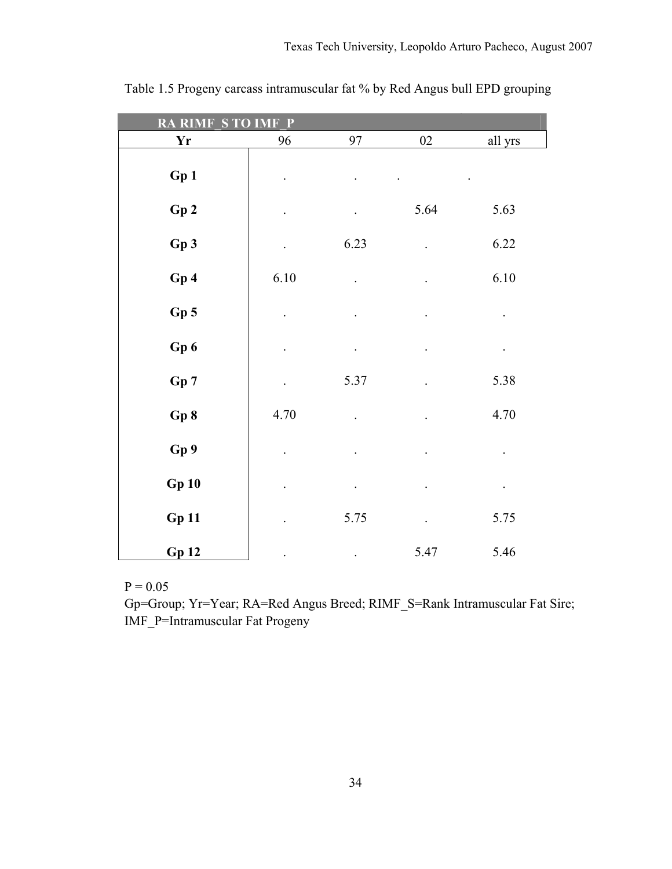| <b>STOIMFP</b><br><b>RA RIMF</b> |                      |                      |                      |           |  |  |  |  |  |  |
|----------------------------------|----------------------|----------------------|----------------------|-----------|--|--|--|--|--|--|
| Yr                               | 96                   | 97                   | $02\,$               | all yrs   |  |  |  |  |  |  |
| Gp1                              |                      |                      |                      |           |  |  |  |  |  |  |
| Gp2                              | $\blacksquare$       | $\ddot{\phantom{0}}$ | 5.64                 | 5.63      |  |  |  |  |  |  |
| Gp3                              | $\Box$               | 6.23                 | $\ddot{\phantom{1}}$ | 6.22      |  |  |  |  |  |  |
| Gp 4                             | $6.10\,$             | $\ddot{\phantom{0}}$ |                      | 6.10      |  |  |  |  |  |  |
| Gp <sub>5</sub>                  | $\ddot{\phantom{0}}$ |                      | $\cdot$              | $\Box$    |  |  |  |  |  |  |
| Gp6                              | $\ddot{\phantom{0}}$ | $\ddot{\phantom{0}}$ | $\bullet$            | $\bullet$ |  |  |  |  |  |  |
| Gp 7                             | $\ddot{\phantom{0}}$ | 5.37                 |                      | 5.38      |  |  |  |  |  |  |
| Gp 8                             | 4.70                 |                      |                      | 4.70      |  |  |  |  |  |  |
| Gp 9                             |                      |                      |                      |           |  |  |  |  |  |  |
| Gp10                             | $\bullet$            | $\bullet$            | $\ddot{\phantom{0}}$ | $\bullet$ |  |  |  |  |  |  |
| <b>Gp 11</b>                     | $\ddot{\phantom{0}}$ | 5.75                 | $\ddot{\phantom{a}}$ | 5.75      |  |  |  |  |  |  |
| <b>Gp 12</b>                     |                      | $\ddot{\phantom{0}}$ | 5.47                 | 5.46      |  |  |  |  |  |  |

Table 1.5 Progeny carcass intramuscular fat % by Red Angus bull EPD grouping

Gp=Group; Yr=Year; RA=Red Angus Breed; RIMF\_S=Rank Intramuscular Fat Sire; IMF\_P=Intramuscular Fat Progeny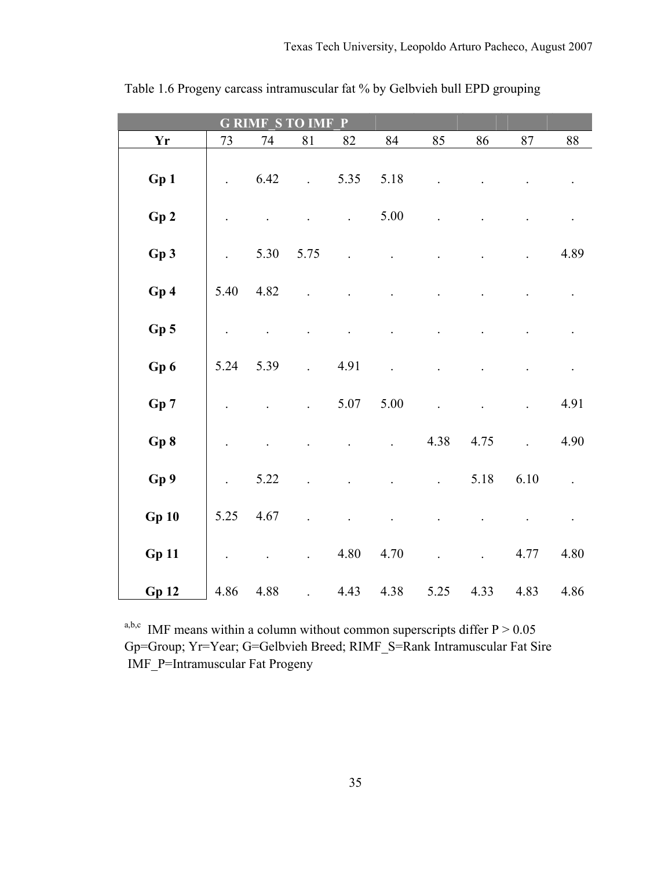|                        | <b>G RIM</b><br>Ρ    |      |      |                      |      |      |      |                |          |  |  |  |  |  |
|------------------------|----------------------|------|------|----------------------|------|------|------|----------------|----------|--|--|--|--|--|
| $\mathbf{Y}\mathbf{r}$ | 73                   | 74   | 81   | 82                   | 84   | 85   | 86   | $87\,$         | $\bf 88$ |  |  |  |  |  |
| Gp 1                   |                      | 6.42 |      | 5.35                 | 5.18 |      |      |                |          |  |  |  |  |  |
| Gp2                    |                      |      |      | $\ddot{\phantom{0}}$ | 5.00 |      |      |                |          |  |  |  |  |  |
| Gp3                    |                      | 5.30 | 5.75 |                      |      |      |      |                | 4.89     |  |  |  |  |  |
| Gp4                    | 5.40                 | 4.82 |      |                      |      |      |      |                |          |  |  |  |  |  |
| Gp <sub>5</sub>        | $\ddot{\phantom{a}}$ |      |      |                      |      |      |      |                |          |  |  |  |  |  |
| Gp6                    | 5.24                 | 5.39 |      | 4.91                 |      |      |      |                |          |  |  |  |  |  |
| Gp7                    |                      |      |      | 5.07                 | 5.00 |      |      |                | 4.91     |  |  |  |  |  |
| Gp 8                   |                      |      |      |                      |      | 4.38 | 4.75 | $\overline{a}$ | 4.90     |  |  |  |  |  |
| Gp 9                   | $\ddot{\phantom{0}}$ | 5.22 |      |                      |      |      | 5.18 | 6.10           |          |  |  |  |  |  |
| Gp10                   | 5.25                 | 4.67 |      |                      |      |      |      |                |          |  |  |  |  |  |
| Gp11                   |                      |      |      | 4.80                 | 4.70 |      |      | 4.77           | 4.80     |  |  |  |  |  |
| <b>Gp 12</b>           | 4.86                 | 4.88 |      | 4.43                 | 4.38 | 5.25 | 4.33 | 4.83           | 4.86     |  |  |  |  |  |

Table 1.6 Progeny carcass intramuscular fat % by Gelbvieh bull EPD grouping

a,b,c IMF means within a column without common superscripts differ  $P > 0.05$ Gp=Group; Yr=Year; G=Gelbvieh Breed; RIMF\_S=Rank Intramuscular Fat Sire IMF\_P=Intramuscular Fat Progeny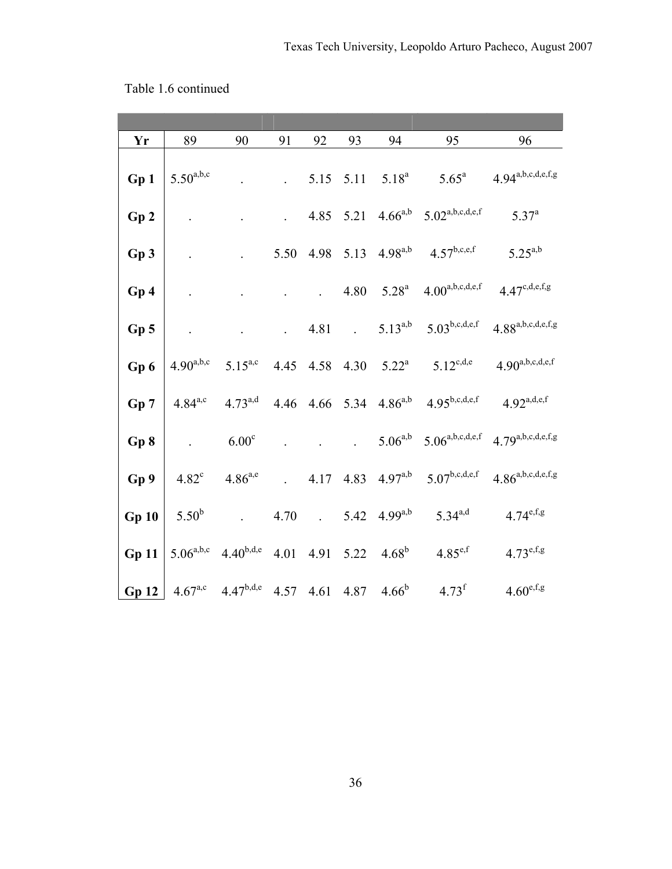| Yr           | 89             | 90                 | 91                                 | 92                 | 93                      | 94                            | 95                                                             | 96                                                                      |
|--------------|----------------|--------------------|------------------------------------|--------------------|-------------------------|-------------------------------|----------------------------------------------------------------|-------------------------------------------------------------------------|
| Gp 1         | $5.50^{a,b,c}$ |                    |                                    |                    |                         | $5.15$ $5.11$ $5.18^a$        | $5.65^{\circ}$                                                 | $4.94^{\text{a},\text{b},\text{c},\text{d},\text{e},\text{f},\text{g}}$ |
| Gp2          |                |                    | $\mathbb{Z}^{\mathbb{Z}^{\times}}$ |                    | 4.85 5.21               |                               | $4.66^{a,b}$ 5.02 <sup>a,b,c,d,e,f</sup>                       | $5.37^{a}$                                                              |
| Gp3          |                |                    | 5.50                               |                    | 4.98 5.13               | $4.98^{a,b}$                  | $4.57^{\rm b,c,e,f}$                                           | $5.25^{a,b}$                                                            |
| Gp 4         |                |                    |                                    | $\mathbb{Z}^{n+1}$ |                         | 4.80 $5.28^a$                 | $4.00^{\text{a},\text{b},\text{c},\text{d},\text{e},\text{f}}$ | $4.47^{c,d,e,f,g}$                                                      |
| Gp 5         |                |                    | $\mathbb{Z}^{\mathbb{Z}^n}$        | 4.81               | $\sim 100$ km s $^{-1}$ | $5.13^{a,b}$                  | $5.03^{b,c,d,e,f}$                                             | $4.88^{a,b,c,d,e,f,g}$                                                  |
| Gp 6         | $4.90^{a,b,c}$ | $5.15^{a,c}$       | 4.45                               |                    |                         |                               | 4.58 4.30 $5.22^a$ $5.12^{c,d,e}$                              | $4.90^{a,b,c,d,e,f}$                                                    |
| Gp 7         | $4.84^{a,c}$   | $4.73^{a,d}$       | 4.46                               |                    |                         | 4.66 5.34 4.86 <sup>a,b</sup> | $4.95^{b,c,d,e,f}$                                             | $4.92^{a,d,e,f}$                                                        |
| Gp 8         |                | 6.00 <sup>c</sup>  |                                    |                    | $\mathcal{L}^{(1)}$     | $5.06^{a,b}$                  |                                                                | $5.06^{a,b,c,d,e,f}$ 4.79a,b,c,d,e,f,g                                  |
| Gp 9         | $4.82^{\circ}$ | $4.86^{a,e}$       | $\mathcal{L}^{(1)}$ .              | 4.17               |                         | 4.83 4.97 <sup>a,b</sup>      | $5.07^{\rm b,c,d,e,f}$                                         | $4.86^{a,b,c,d,e,f,g}$                                                  |
| Gp10         | $5.50^{b}$     | $\mathbb{Z}^{n+1}$ | 4.70                               | $\sim 10^{-10}$    |                         | 5.42 $4.99^{a,b}$             | $5.34^{a,d}$                                                   | $4.74^{e,f,g}$                                                          |
| <b>Gp 11</b> | $5.06^{a,b,c}$ | $4.40^{b,d,e}$     | 4.01                               |                    | 4.91 5.22               | $4.68^{b}$                    | $4.85^{e,f}$                                                   | $4.73^{e,f,g}$                                                          |
| Gp12         | $4.67^{a,c}$   | $4.47^{b,d,e}$     | 4.57                               | 4.61               | 4.87                    | $4.66^b$                      | $4.73^f$                                                       | $4.60^{\text{e,f,g}}$                                                   |

Table 1.6 continued

36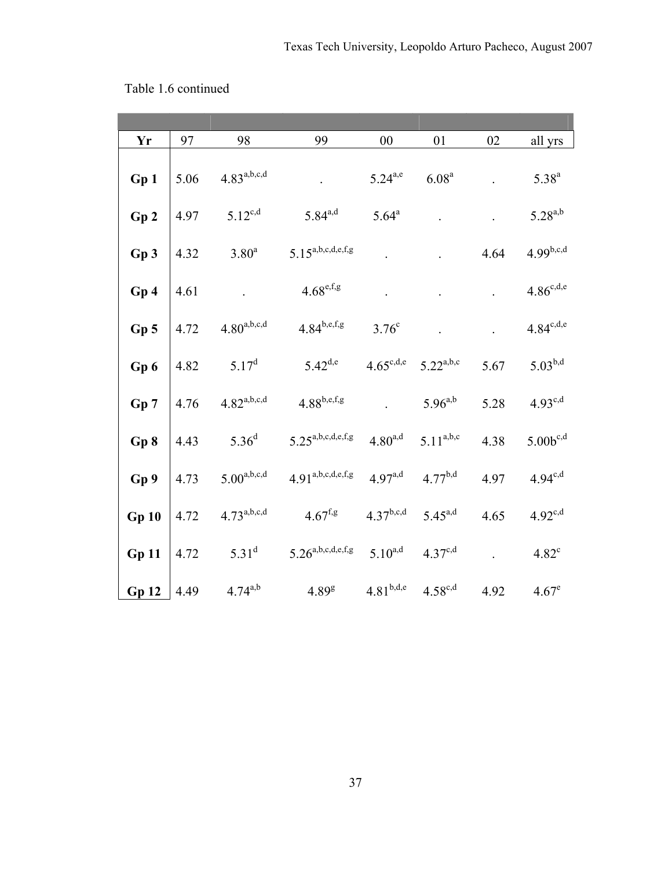| Yr           | 97   | 98               | 99                                                                      | 00                    | 01                | 02   | all yrs        |
|--------------|------|------------------|-------------------------------------------------------------------------|-----------------------|-------------------|------|----------------|
| Gp 1         | 5.06 | $4.83^{a,b,c,d}$ |                                                                         | $5.24^{a,e}$          | 6.08 <sup>a</sup> |      | $5.38^{a}$     |
| Gp2          | 4.97 | $5.12^{c,d}$     | $5.84^{a,d}$                                                            | $5.64^a$              |                   |      | $5.28^{a,b}$   |
| Gp 3         | 4.32 | $3.80^{\rm a}$   | $5.15^{a,b,c,d,e,f,g}$                                                  |                       |                   | 4.64 | $4.99^{b,c,d}$ |
| Gp 4         | 4.61 |                  | $4.68^{\text{e,f,g}}$                                                   |                       |                   |      | $4.86^{c,d,e}$ |
| Gp 5         | 4.72 | $4.80^{a,b,c,d}$ | $4.84^{b,e,f,g}$                                                        | $3.76^{\circ}$        |                   |      | $4.84^{c,d,e}$ |
| Gp6          | 4.82 | $5.17^d$         | $5.42^{d,e}$                                                            | $4.65^{\text{c},d,e}$ | $5.22^{a,b,c}$    | 5.67 | $5.03^{b,d}$   |
| Gp 7         | 4.76 | $4.82^{a,b,c,d}$ | $4.88^{b,e,f,g}$                                                        |                       | $5.96^{a,b}$      | 5.28 | $4.93^{c,d}$   |
| Gp8          | 4.43 | $5.36^{d}$       | $5.25^{\text{a},\text{b},\text{c},\text{d},\text{e},\text{f},\text{g}}$ | $4.80^{a,d}$          | $5.11^{a,b,c}$    | 4.38 | $5.00b^{c,d}$  |
| Gp 9         | 4.73 | $5.00^{a,b,c,d}$ | $4.91^{a,b,c,d,e,f,g}$                                                  | $4.97^{a,d}$          | $4.77^{b,d}$      | 4.97 | $4.94^{c,d}$   |
| <b>Gp 10</b> | 4.72 | $4.73^{a,b,c,d}$ | $4.67^{f,g}$                                                            | $4.37^{b,c,d}$        | $5.45^{a,d}$      | 4.65 | $4.92^{c,d}$   |
| <b>Gp 11</b> | 4.72 | $5.31^d$         | $5.26^{a,b,c,d,e,f,g}$                                                  | $5.10^{a,d}$          | $4.37^{c,d}$      |      | $4.82^c$       |
| Gp12         | 4.49 | $4.74^{a,b}$     | $4.89^{8}$                                                              | $4.81^{b,d,e}$        | $4.58^{c,d}$      | 4.92 | $4.67^e$       |

Table 1.6 continued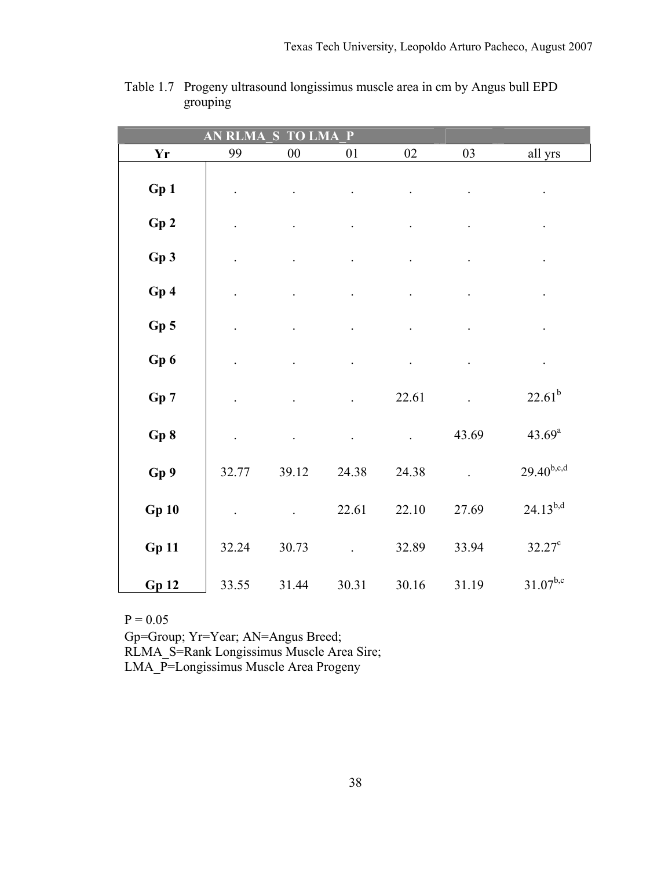|                 | <b>RLMA</b><br>AN | S<br><b>TO</b> | P<br>$\overline{\mathbf{LMA}}$ |                      |           |                      |
|-----------------|-------------------|----------------|--------------------------------|----------------------|-----------|----------------------|
| <b>Yr</b>       | 99                | ${\bf 00}$     | $0 \\ 1$                       | $02\,$               | 03        | all yrs              |
| Gp1             |                   |                |                                |                      |           |                      |
| Gp2             |                   |                |                                |                      |           | $\ddot{\phantom{0}}$ |
| Gp 3            |                   |                |                                |                      |           |                      |
| Gp4             | $\bullet$         |                |                                |                      |           | $\bullet$            |
| Gp <sub>5</sub> |                   |                |                                | $\ddot{\phantom{0}}$ |           | $\ddot{\phantom{0}}$ |
| Gp 6            |                   |                |                                | $\ddot{\phantom{1}}$ | $\bullet$ | $\bullet$            |
| Gp 7            |                   |                |                                | 22.61                |           | $22.61^{b}$          |
| Gp 8            | $\Box$            |                |                                | $\ddot{\phantom{a}}$ | 43.69     | $43.69^{\rm a}$      |
| Gp 9            | 32.77             | 39.12          | 24.38                          | 24.38                |           | $29.40^{b,c,d}$      |
| <b>Gp 10</b>    |                   |                | 22.61                          | 22.10                | 27.69     | $24.13^{b,d}$        |
| <b>Gp 11</b>    | 32.24             | 30.73          |                                | 32.89                | 33.94     | $32.27^c$            |
| <b>Gp 12</b>    | 33.55             | 31.44          | 30.31                          | 30.16                | 31.19     | $31.07^{b,c}$        |

Table 1.7 Progeny ultrasound longissimus muscle area in cm by Angus bull EPD grouping

Gp=Group; Yr=Year; AN=Angus Breed; RLMA\_S=Rank Longissimus Muscle Area Sire; LMA\_P=Longissimus Muscle Area Progeny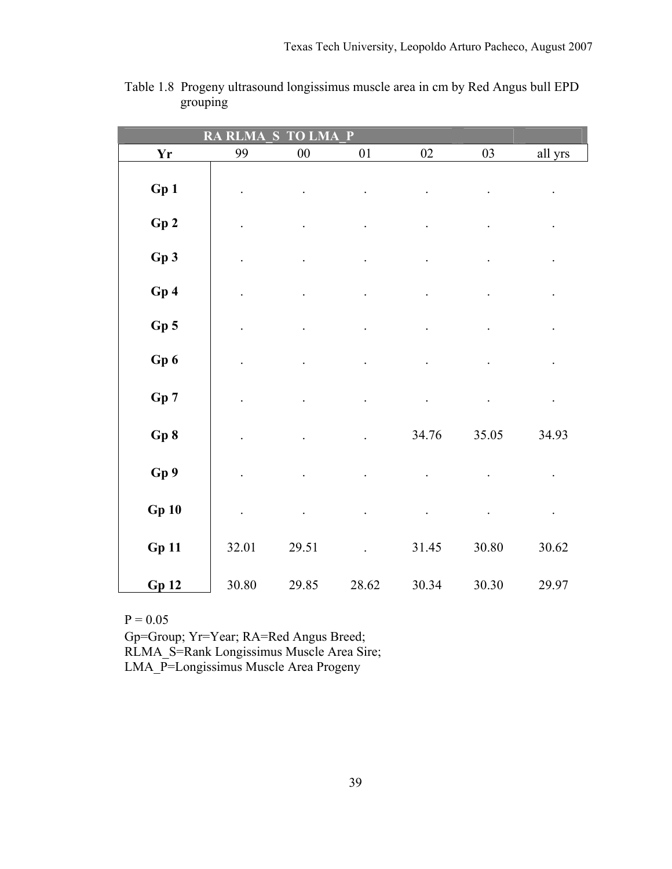|                 | $\overline{\mathbf{R} A}$<br><b>RLMA</b> | S<br>LMA   | P     |        |       |                      |
|-----------------|------------------------------------------|------------|-------|--------|-------|----------------------|
| <b>Yr</b>       | 99                                       | ${\bf 00}$ | 01    | $02\,$ | 03    | all yrs              |
| Gp 1            |                                          |            |       |        |       |                      |
| Gp2             |                                          |            |       |        |       |                      |
| Gp3             |                                          |            |       |        |       |                      |
| Gp4             |                                          |            |       |        |       | $\ddot{\phantom{0}}$ |
| Gp <sub>5</sub> |                                          |            |       |        |       | $\ddot{\phantom{0}}$ |
| Gp 6            |                                          |            |       |        |       |                      |
| Gp 7            |                                          |            |       |        |       | $\bullet$            |
| Gp 8            |                                          |            |       | 34.76  | 35.05 | 34.93                |
| Gp 9            |                                          |            |       |        |       |                      |
| Gp10            |                                          |            |       |        |       | $\bullet$            |
| Gp11            | 32.01                                    | 29.51      |       | 31.45  | 30.80 | 30.62                |
| <b>Gp 12</b>    | 30.80                                    | 29.85      | 28.62 | 30.34  | 30.30 | 29.97                |

Table 1.8 Progeny ultrasound longissimus muscle area in cm by Red Angus bull EPD grouping

Gp=Group; Yr=Year; RA=Red Angus Breed; RLMA\_S=Rank Longissimus Muscle Area Sire; LMA\_P=Longissimus Muscle Area Progeny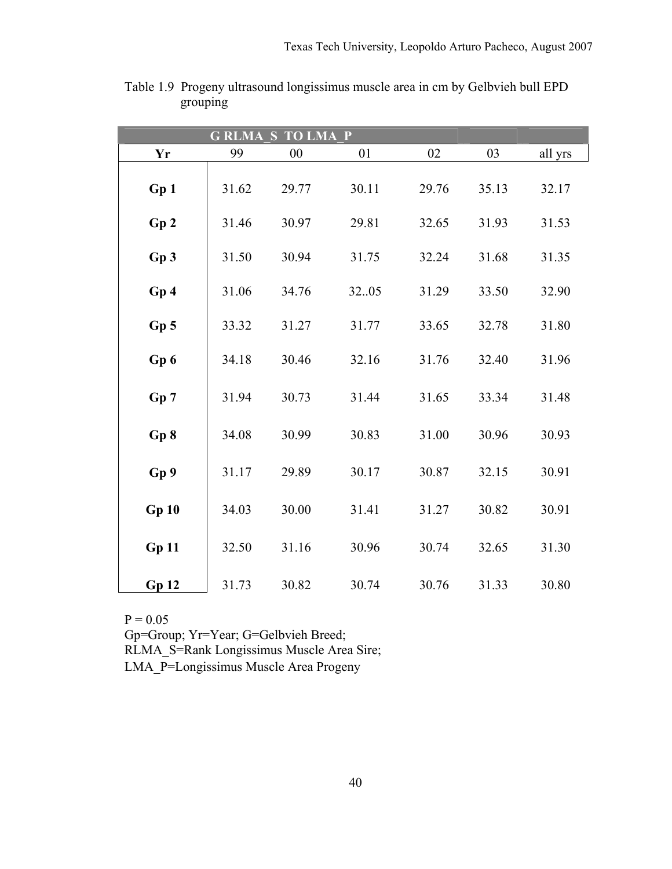|                 |       | <b>GRLMA S TO LMA P</b> |       |       |       |         |
|-----------------|-------|-------------------------|-------|-------|-------|---------|
| Yr              | 99    | $00\,$                  | 01    | 02    | 03    | all yrs |
| Gp1             | 31.62 | 29.77                   | 30.11 | 29.76 | 35.13 | 32.17   |
| Gp2             | 31.46 | 30.97                   | 29.81 | 32.65 | 31.93 | 31.53   |
| Gp3             | 31.50 | 30.94                   | 31.75 | 32.24 | 31.68 | 31.35   |
| Gp4             | 31.06 | 34.76                   | 3205  | 31.29 | 33.50 | 32.90   |
| Gp <sub>5</sub> | 33.32 | 31.27                   | 31.77 | 33.65 | 32.78 | 31.80   |
| Gp 6            | 34.18 | 30.46                   | 32.16 | 31.76 | 32.40 | 31.96   |
| Gp 7            | 31.94 | 30.73                   | 31.44 | 31.65 | 33.34 | 31.48   |
| Gp 8            | 34.08 | 30.99                   | 30.83 | 31.00 | 30.96 | 30.93   |
| Gp 9            | 31.17 | 29.89                   | 30.17 | 30.87 | 32.15 | 30.91   |
| Gp10            | 34.03 | 30.00                   | 31.41 | 31.27 | 30.82 | 30.91   |
| Gp11            | 32.50 | 31.16                   | 30.96 | 30.74 | 32.65 | 31.30   |
| <b>Gp 12</b>    | 31.73 | 30.82                   | 30.74 | 30.76 | 31.33 | 30.80   |

Table 1.9 Progeny ultrasound longissimus muscle area in cm by Gelbvieh bull EPD grouping

 $P = 0.05$ Gp=Group; Yr=Year; G=Gelbvieh Breed; RLMA\_S=Rank Longissimus Muscle Area Sire; LMA\_P=Longissimus Muscle Area Progeny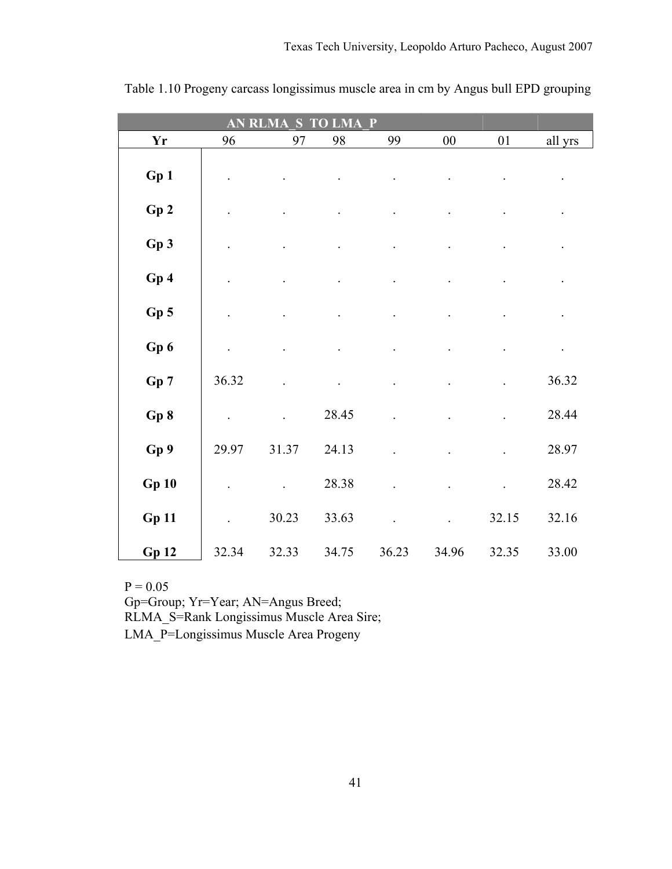| AN<br>$\mathbf{P}$<br>S<br>RI<br>LMA |       |       |       |       |        |                      |         |  |  |  |
|--------------------------------------|-------|-------|-------|-------|--------|----------------------|---------|--|--|--|
| Yr                                   | 96    | 97    | 98    | 99    | $00\,$ | 01                   | all yrs |  |  |  |
| Gp 1                                 |       |       |       |       |        |                      |         |  |  |  |
| Gp2                                  |       |       |       |       |        |                      |         |  |  |  |
| Gp 3                                 |       |       |       |       |        |                      |         |  |  |  |
| Gp 4                                 |       |       |       |       |        |                      |         |  |  |  |
| Gp 5                                 |       |       |       |       |        |                      |         |  |  |  |
| Gp 6                                 |       |       |       |       |        |                      |         |  |  |  |
| Gp 7                                 | 36.32 |       |       |       |        |                      | 36.32   |  |  |  |
| Gp 8                                 |       |       | 28.45 |       |        |                      | 28.44   |  |  |  |
| Gp 9                                 | 29.97 | 31.37 | 24.13 |       |        |                      | 28.97   |  |  |  |
| Gp10                                 |       |       | 28.38 |       |        | $\ddot{\phantom{0}}$ | 28.42   |  |  |  |
| <b>Gp 11</b>                         |       | 30.23 | 33.63 |       |        | 32.15                | 32.16   |  |  |  |
| <b>Gp 12</b>                         | 32.34 | 32.33 | 34.75 | 36.23 | 34.96  | 32.35                | 33.00   |  |  |  |

Table 1.10 Progeny carcass longissimus muscle area in cm by Angus bull EPD grouping

Gp=Group; Yr=Year; AN=Angus Breed;

RLMA\_S=Rank Longissimus Muscle Area Sire;

LMA\_P=Longissimus Muscle Area Progeny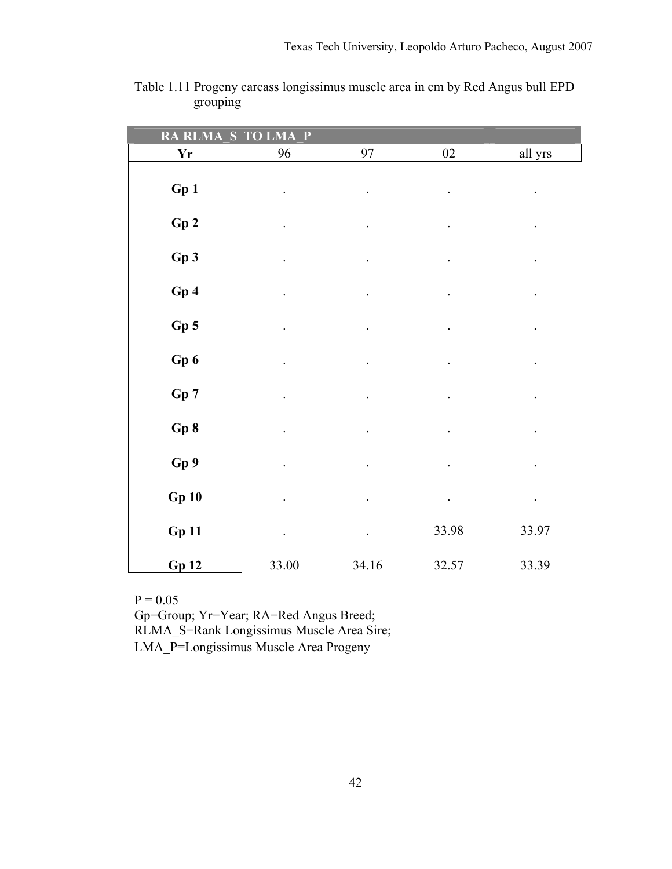| <b>RA RLMA</b><br>S    | P<br>$T\overline{O}$<br><b>LMA</b> |                      |                      |                      |
|------------------------|------------------------------------|----------------------|----------------------|----------------------|
| $\mathbf{Y}\mathbf{r}$ | 96                                 | 97                   | $02\,$               | all yrs              |
| Gp1                    |                                    |                      |                      |                      |
| Gp2                    |                                    |                      | $\cdot$              |                      |
| Gp3                    |                                    |                      | $\bullet$            | $\ddot{\phantom{0}}$ |
| Gp4                    |                                    |                      |                      |                      |
| $Gp$ 5                 |                                    |                      | $\bullet$            | $\ddot{\phantom{0}}$ |
| Gp 6                   |                                    |                      | $\ddot{\phantom{0}}$ | $\ddot{\phantom{0}}$ |
| Gp 7                   |                                    |                      |                      |                      |
| Gp8                    |                                    |                      |                      |                      |
| Gp 9                   |                                    |                      |                      |                      |
| Gp10                   |                                    |                      | $\bullet$            | $\bullet$            |
| <b>Gp 11</b>           |                                    | $\ddot{\phantom{0}}$ | 33.98                | 33.97                |
| Gp12                   | 33.00                              | 34.16                | 32.57                | 33.39                |

| Table 1.11 Progeny carcass longissimus muscle area in cm by Red Angus bull EPD |  |  |
|--------------------------------------------------------------------------------|--|--|
| grouping                                                                       |  |  |

Gp=Group; Yr=Year; RA=Red Angus Breed; RLMA\_S=Rank Longissimus Muscle Area Sire; LMA\_P=Longissimus Muscle Area Progeny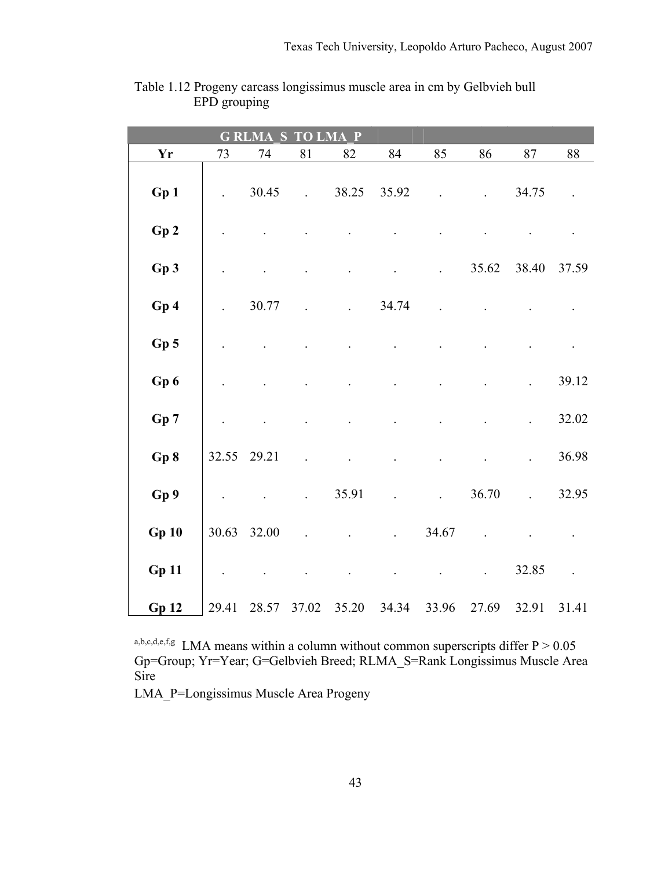| S<br>$\mathbf{P}$<br><b>LMA</b><br>G<br><b>RLMA</b><br><b>TO</b> |       |             |                      |       |       |                      |       |        |        |
|------------------------------------------------------------------|-------|-------------|----------------------|-------|-------|----------------------|-------|--------|--------|
| <b>Yr</b>                                                        | 73    | 74          | 81                   | 82    | 84    | 85                   | 86    | $87\,$ | $88\,$ |
| Gp 1                                                             |       | 30.45       |                      | 38.25 | 35.92 |                      |       | 34.75  |        |
| Gp2                                                              |       |             |                      |       |       |                      |       |        |        |
| Gp 3                                                             |       |             |                      |       |       |                      | 35.62 | 38.40  | 37.59  |
| Gp4                                                              |       | 30.77       |                      |       | 34.74 |                      |       |        |        |
| Gp <sub>5</sub>                                                  |       |             |                      |       |       |                      |       |        |        |
| Gp 6                                                             |       |             |                      |       |       |                      |       |        | 39.12  |
| Gp 7                                                             |       |             |                      |       |       |                      |       |        | 32.02  |
| Gp 8                                                             |       | 32.55 29.21 |                      |       |       |                      |       |        | 36.98  |
| Gp 9                                                             |       |             | $\ddot{\phantom{a}}$ | 35.91 |       | $\ddot{\phantom{a}}$ | 36.70 |        | 32.95  |
| <b>Gp 10</b>                                                     | 30.63 | 32.00       |                      |       |       | 34.67                |       |        |        |
| <b>Gp 11</b>                                                     |       |             |                      |       |       |                      |       | 32.85  |        |
| <b>Gp 12</b>                                                     | 29.41 | 28.57       | 37.02                | 35.20 | 34.34 | 33.96                | 27.69 | 32.91  | 31.41  |

Table 1.12 Progeny carcass longissimus muscle area in cm by Gelbvieh bull EPD grouping

a,b,c,d,e,f,g LMA means within a column without common superscripts differ  $P > 0.05$ Gp=Group; Yr=Year; G=Gelbvieh Breed; RLMA\_S=Rank Longissimus Muscle Area Sire

LMA\_P=Longissimus Muscle Area Progeny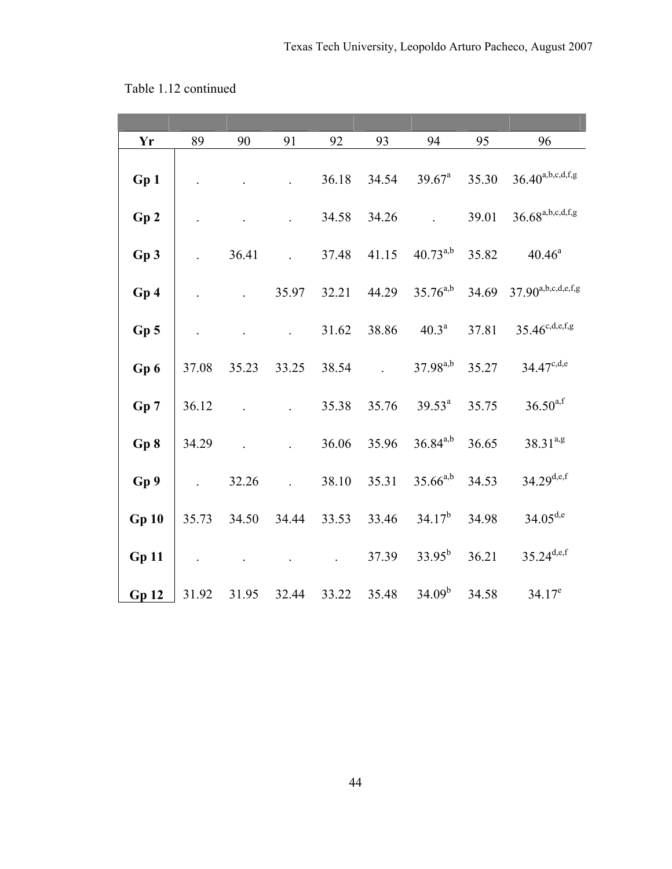| Table 1.12 continued |
|----------------------|
|----------------------|

| Yr              | 89    | 90    | 91                   | 92    | 93    | 94                 | 95    | 96                               |
|-----------------|-------|-------|----------------------|-------|-------|--------------------|-------|----------------------------------|
| Gp 1            |       |       |                      | 36.18 | 34.54 | $39.67^{\text{a}}$ | 35.30 | $36.40^{a,b,c,d,f,g}$            |
| Gp2             |       |       |                      | 34.58 | 34.26 |                    | 39.01 | $36.68^{\mathrm{a,b,c,d,f,g}}$   |
| Gp3             |       | 36.41 | $\mathbb{R}^2$       | 37.48 | 41.15 | $40.73^{a,b}$      | 35.82 | $40.46^a$                        |
| Gp <sub>4</sub> |       |       | 35.97                | 32.21 | 44.29 | $35.76^{a,b}$      | 34.69 | $37.90^{\mathrm{a,b,c,d,e,f,g}}$ |
| Gp <sub>5</sub> |       |       | $\ddot{\phantom{a}}$ | 31.62 | 38.86 | $40.3^{\text{a}}$  | 37.81 | $35.46^{c,d,e,f,g}$              |
| Gp 6            | 37.08 | 35.23 | 33.25                | 38.54 |       | $37.98^{a,b}$      | 35.27 | $34.47^{c,d,e}$                  |
| Gp 7            | 36.12 |       |                      | 35.38 | 35.76 | $39.53^a$          | 35.75 | $36.50^{a,f}$                    |
| Gp 8            | 34.29 |       |                      | 36.06 | 35.96 | $36.84^{a,b}$      | 36.65 | $38.31^{a,g}$                    |
| Gp 9            |       | 32.26 | $\ddot{\phantom{a}}$ | 38.10 | 35.31 | $35.66^{a,b}$      | 34.53 | $34.29^{d,e,f}$                  |
| Gp10            | 35.73 | 34.50 | 34.44                | 33.53 | 33.46 | $34.17^{b}$        | 34.98 | $34.05^{d,e}$                    |
| Gp11            |       |       |                      |       | 37.39 | $33.95^{b}$        | 36.21 | $35.24^{d,e,f}$                  |
| Gp12            | 31.92 | 31.95 | 32.44                | 33.22 | 35.48 | $34.09^b$          | 34.58 | $34.17^e$                        |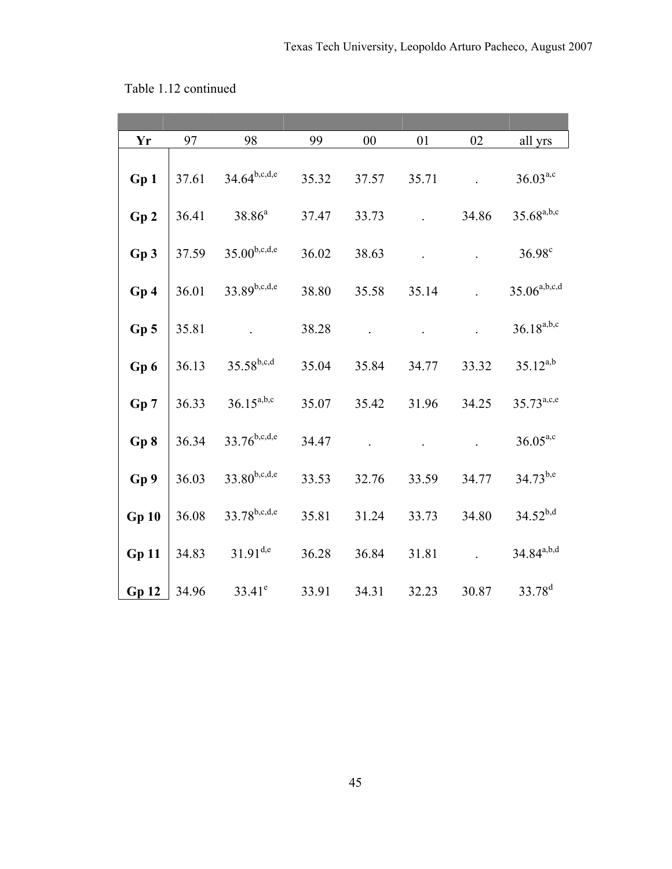| Yr              | 97    | 98                | 99    | $00\,$ | 01    | 02    | all yrs            |
|-----------------|-------|-------------------|-------|--------|-------|-------|--------------------|
| Gp 1            | 37.61 | $34.64^{b,c,d,e}$ | 35.32 | 37.57  | 35.71 |       | $36.03^{a,c}$      |
| Gp <sub>2</sub> | 36.41 | $38.86^{a}$       | 37.47 | 33.73  |       | 34.86 | $35.68^{a,b,c}$    |
| Gp 3            | 37.59 | $35.00^{b,c,d,e}$ | 36.02 | 38.63  |       |       | $36.98^c$          |
| Gp 4            | 36.01 | $33.89^{b,c,d,e}$ | 38.80 | 35.58  | 35.14 |       | $35.06^{a,b,c,d}$  |
| $Gp$ 5          | 35.81 |                   | 38.28 |        |       |       | $36.18^{a,b,c}$    |
| Gp6             | 36.13 | $35.58^{b,c,d}$   | 35.04 | 35.84  | 34.77 | 33.32 | $35.12^{a,b}$      |
| Gp 7            | 36.33 | $36.15^{a,b,c}$   | 35.07 | 35.42  | 31.96 | 34.25 | $35.73^{a,c,e}$    |
| Gp 8            | 36.34 | $33.76^{b,c,d,e}$ | 34.47 |        |       |       | $36.05^{a,c}$      |
| Gp 9            | 36.03 | $33.80^{b,c,d,e}$ | 33.53 | 32.76  | 33.59 | 34.77 | $34.73^{b,e}$      |
| <b>Gp 10</b>    | 36.08 | $33.78^{b,c,d,e}$ | 35.81 | 31.24  | 33.73 | 34.80 | $34.52^{b,d}$      |
| <b>Gp 11</b>    | 34.83 | $31.91^{d,e}$     | 36.28 | 36.84  | 31.81 |       | $34.84^{a,b,d}$    |
| Gp12            | 34.96 | $33.41^e$         | 33.91 | 34.31  | 32.23 | 30.87 | 33.78 <sup>d</sup> |

Table 1.12 continued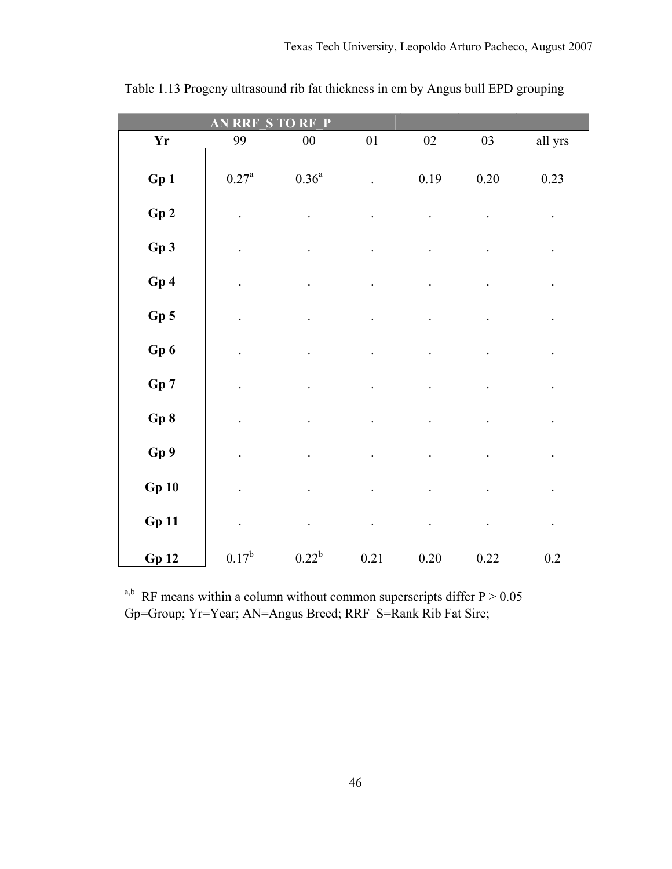|              | S<br>AN<br><b>RRF</b> | RF<br>$\overline{P}$<br>TO |        |        |          |                      |
|--------------|-----------------------|----------------------------|--------|--------|----------|----------------------|
| <b>Yr</b>    | 99                    | $00\,$                     | $01\,$ | $02\,$ | 03       | all yrs              |
| Gp 1         | $0.27^{\rm a}$        | $0.36^{\mathrm{a}}$        |        | 0.19   | $0.20\,$ | 0.23                 |
| Gp2          |                       |                            |        |        |          | $\ddot{\phantom{0}}$ |
| Gp3          |                       |                            |        |        |          |                      |
| Gp4          |                       |                            |        |        |          |                      |
| $Gp$ 5       |                       |                            |        |        |          |                      |
| Gp6          |                       |                            |        |        |          |                      |
| Gp 7         |                       |                            |        |        |          |                      |
| Gp 8         |                       |                            |        |        |          |                      |
| Gp 9         | $\ddot{\phantom{0}}$  |                            |        |        |          | $\ddot{\phantom{0}}$ |
| <b>Gp 10</b> |                       |                            |        |        |          |                      |
| <b>Gp 11</b> |                       |                            |        |        |          | $\bullet$            |
| <b>Gp 12</b> | $0.17^{b}$            | $0.22^b$                   | 0.21   | 0.20   | 0.22     | 0.2                  |

Table 1.13 Progeny ultrasound rib fat thickness in cm by Angus bull EPD grouping

<sup>a,b</sup> RF means within a column without common superscripts differ  $P > 0.05$ Gp=Group; Yr=Year; AN=Angus Breed; RRF\_S=Rank Rib Fat Sire;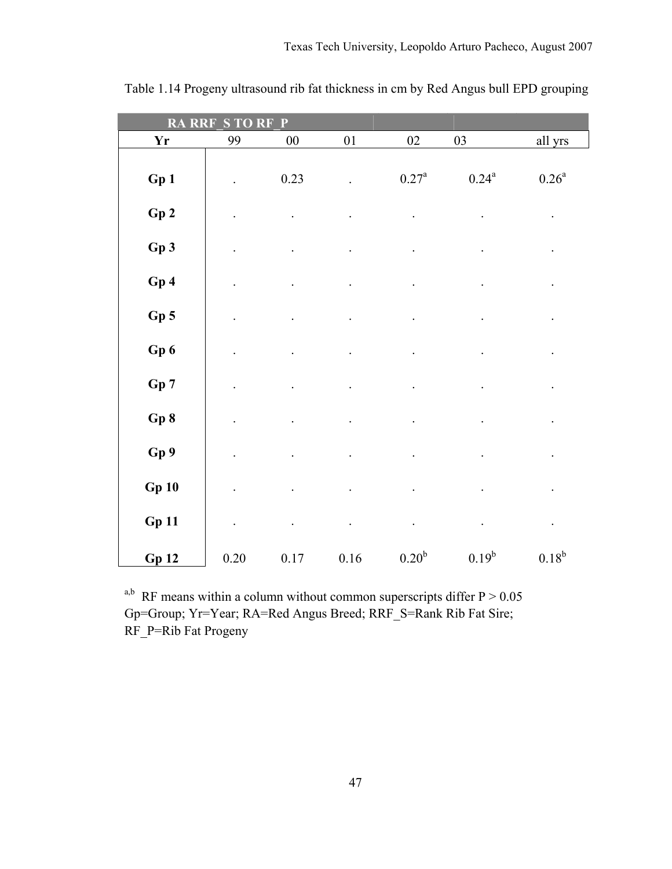| <b>RA</b><br><b>RRF</b> | S TO                 | RF<br>P  |          |                   |                |                |
|-------------------------|----------------------|----------|----------|-------------------|----------------|----------------|
| <b>Yr</b>               | 99                   | $00\,$   | $0 \\ 1$ | $02\,$            | $03\,$         | all yrs        |
| Gp1                     |                      | 0.23     |          | $0.27^{\rm a}$    | $0.24^{\rm a}$ | $0.26^{\rm a}$ |
| Gp2                     |                      |          |          |                   |                |                |
| Gp3                     | $\ddot{\phantom{0}}$ |          |          |                   |                |                |
| Gp4                     |                      |          |          |                   |                |                |
| Gp <sub>5</sub>         |                      |          |          |                   |                |                |
| Gp6                     |                      |          |          |                   |                |                |
| Gp 7                    |                      |          |          |                   |                |                |
| Gp 8                    |                      |          |          |                   |                |                |
| Gp 9                    | $\ddot{\phantom{0}}$ |          |          |                   |                |                |
| Gp10                    |                      |          |          |                   |                |                |
| <b>Gp 11</b>            | $\ddot{\phantom{0}}$ |          |          |                   |                | $\bullet$      |
| Gp12                    | $0.20\,$             | $0.17\,$ | $0.16\,$ | 0.20 <sup>b</sup> | $0.19^{b}$     | $0.18^{b}$     |

Table 1.14 Progeny ultrasound rib fat thickness in cm by Red Angus bull EPD grouping

<sup>a,b</sup> RF means within a column without common superscripts differ  $P > 0.05$ Gp=Group; Yr=Year; RA=Red Angus Breed; RRF\_S=Rank Rib Fat Sire; RF\_P=Rib Fat Progeny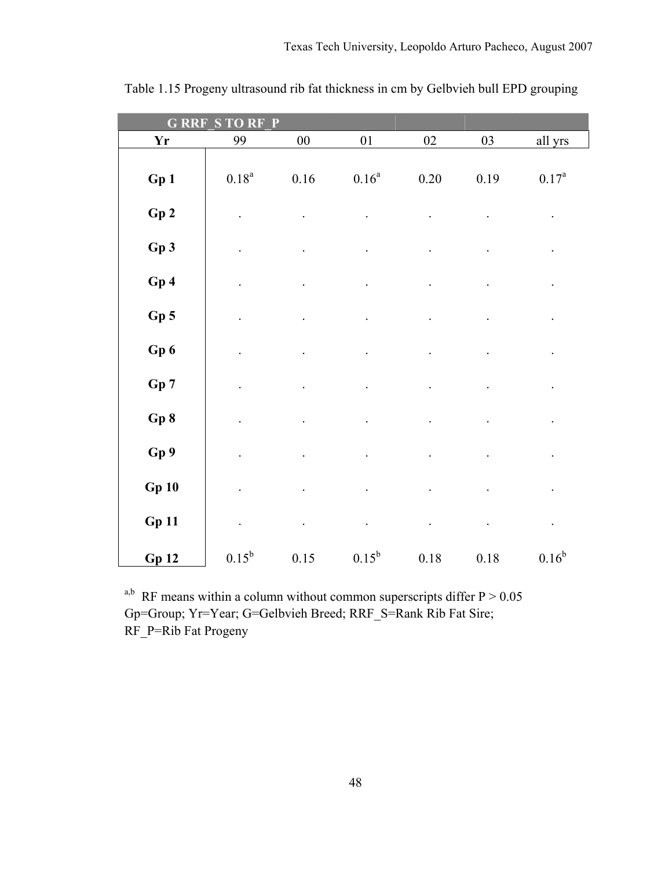| G<br><b>RR</b>  | RT             | P          |                |          |          |                |
|-----------------|----------------|------------|----------------|----------|----------|----------------|
| <b>Yr</b>       | 99             | ${\bf 00}$ | $0 \\ 1$       | $02\,$   | 03       | all yrs        |
| Gp 1            | $0.18^{\rm a}$ | $0.16\,$   | $0.16^{\rm a}$ | $0.20\,$ | 0.19     | $0.17^{\rm a}$ |
| Gp2             |                |            |                |          |          |                |
| Gp3             |                |            |                |          |          |                |
| Gp4             |                |            |                |          |          |                |
| Gp <sub>5</sub> |                |            |                |          |          |                |
| Gp 6            |                |            |                |          |          |                |
| Gp 7            |                |            |                |          |          |                |
| Gp 8            |                |            |                |          |          |                |
| Gp 9            |                |            |                |          |          |                |
| Gp10            |                |            |                |          |          |                |
| <b>Gp 11</b>    |                |            |                |          |          | $\bullet$      |
| Gp12            | $0.15^{b}$     | 0.15       | $0.15^{b}$     | $0.18\,$ | $0.18\,$ | $0.16^{\rm b}$ |

Table 1.15 Progeny ultrasound rib fat thickness in cm by Gelbvieh bull EPD grouping

<sup>a,b</sup> RF means within a column without common superscripts differ  $P > 0.05$ Gp=Group; Yr=Year; G=Gelbvieh Breed; RRF\_S=Rank Rib Fat Sire; RF\_P=Rib Fat Progeny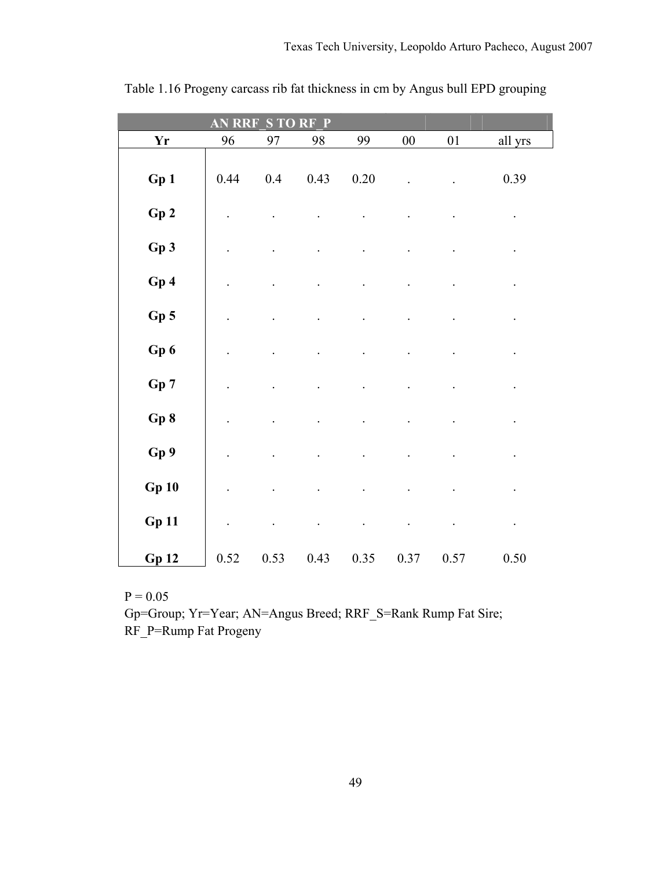| P<br>$\bf R$<br>R<br>n<br>AN<br>S |         |         |      |          |            |        |                      |  |  |  |  |
|-----------------------------------|---------|---------|------|----------|------------|--------|----------------------|--|--|--|--|
| <b>Yr</b>                         | 96      | 97      | 98   | 99       | ${\bf 00}$ | $01\,$ | all yrs              |  |  |  |  |
| Gp1                               | 0.44    | $0.4\,$ | 0.43 | $0.20\,$ |            |        | 0.39                 |  |  |  |  |
| Gp2                               | $\cdot$ |         |      |          |            |        | $\ddot{\phantom{1}}$ |  |  |  |  |
| Gp3                               |         |         |      |          |            |        | $\ddot{\phantom{0}}$ |  |  |  |  |
| Gp 4                              |         |         |      |          |            |        | $\bullet$            |  |  |  |  |
| Gp5                               |         |         |      |          |            |        | $\ddot{\phantom{0}}$ |  |  |  |  |
| Gp 6                              |         |         |      |          |            |        |                      |  |  |  |  |
| Gp 7                              |         |         |      |          |            |        |                      |  |  |  |  |
| Gp 8                              |         |         |      |          |            |        | $\ddot{\phantom{1}}$ |  |  |  |  |
| Gp 9                              |         |         |      |          |            |        | $\bullet$            |  |  |  |  |
| <b>Gp 10</b>                      |         |         |      |          |            |        | $\bullet$            |  |  |  |  |
| <b>Gp 11</b>                      |         |         |      |          |            |        | $\bullet$            |  |  |  |  |
| <b>Gp 12</b>                      | 0.52    | 0.53    | 0.43 | 0.35     | 0.37       | 0.57   | 0.50                 |  |  |  |  |

Table 1.16 Progeny carcass rib fat thickness in cm by Angus bull EPD grouping

Gp=Group; Yr=Year; AN=Angus Breed; RRF\_S=Rank Rump Fat Sire; RF\_P=Rump Fat Progeny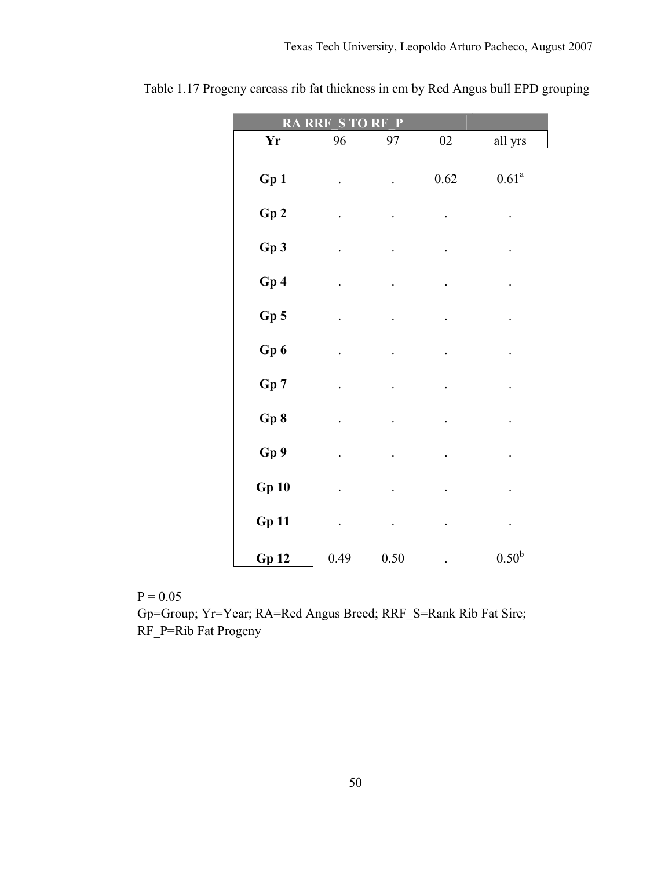|              | <b>RA RRF S TO RF</b> | P        |          |                |
|--------------|-----------------------|----------|----------|----------------|
| <b>Yr</b>    | 96                    | 97       | $02\,$   | all yrs        |
| Gp1          |                       |          | $0.62\,$ | $0.61^{\rm a}$ |
| ${\bf Gp}$ 2 |                       |          |          |                |
| Gp3          |                       |          |          |                |
| Gp4          |                       |          |          | $\bullet$      |
| $Gp$ 5       |                       |          |          |                |
| Gp6          |                       |          |          |                |
| Gp 7         |                       |          |          |                |
| Gp8          |                       |          |          |                |
| Gp 9         |                       |          |          | $\bullet$      |
| <b>Gp 10</b> |                       |          |          |                |
| <b>Gp 11</b> |                       |          |          | $\bullet$      |
| <b>Gp 12</b> | 0.49                  | $0.50\,$ |          | $0.50^{\rm b}$ |

|  |  |  |  |  |  |  | Table 1.17 Progeny carcass rib fat thickness in cm by Red Angus bull EPD grouping |
|--|--|--|--|--|--|--|-----------------------------------------------------------------------------------|
|--|--|--|--|--|--|--|-----------------------------------------------------------------------------------|

 Gp=Group; Yr=Year; RA=Red Angus Breed; RRF\_S=Rank Rib Fat Sire; RF\_P=Rib Fat Progeny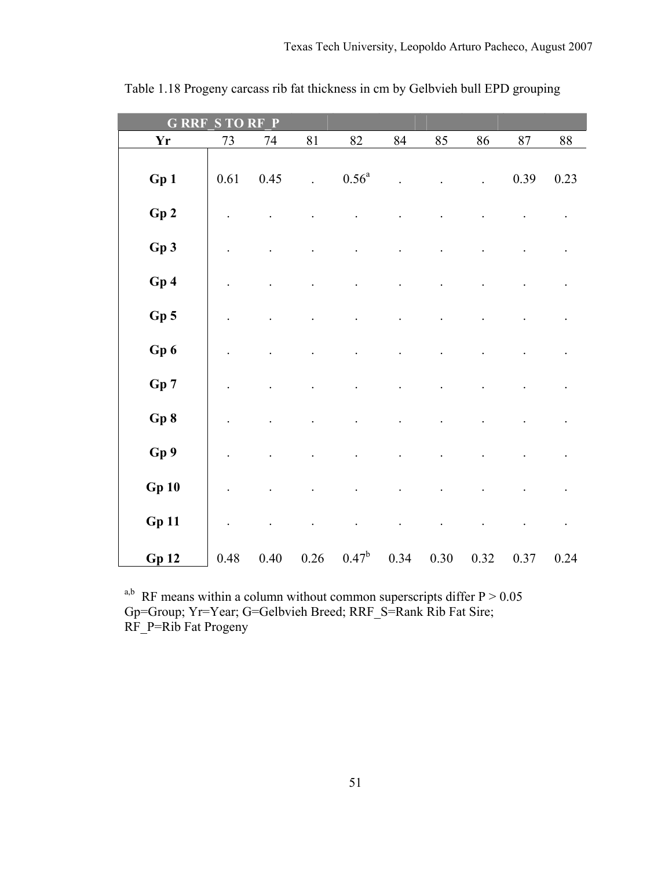| <b>G RRF</b><br><b>RF</b><br>P<br>S<br><b>TO</b> |      |      |                |                |      |      |      |      |        |  |  |
|--------------------------------------------------|------|------|----------------|----------------|------|------|------|------|--------|--|--|
| <b>Yr</b>                                        | 73   | 74   | 81             | 82             | 84   | 85   | 86   | 87   | $88\,$ |  |  |
| Gp 1                                             | 0.61 | 0.45 | $\overline{a}$ | $0.56^{\rm a}$ |      |      |      | 0.39 | 0.23   |  |  |
| Gp2                                              |      |      |                |                |      |      |      |      |        |  |  |
| Gp 3                                             |      |      |                |                |      |      |      |      |        |  |  |
| Gp4                                              |      |      |                |                |      |      |      |      |        |  |  |
| $Gp$ 5                                           |      |      |                |                |      |      |      |      |        |  |  |
| Gp 6                                             |      |      |                |                |      |      |      |      |        |  |  |
| Gp 7                                             |      |      |                |                |      |      |      |      |        |  |  |
| Gp 8                                             |      |      |                |                |      |      |      |      |        |  |  |
| Gp 9                                             |      |      |                |                |      |      |      |      |        |  |  |
| <b>Gp 10</b>                                     |      |      |                |                |      |      |      |      |        |  |  |
| <b>Gp 11</b>                                     |      |      |                |                |      |      |      |      |        |  |  |
| Gp12                                             | 0.48 | 0.40 | $0.26\,$       | $0.47^b$       | 0.34 | 0.30 | 0.32 | 0.37 | 0.24   |  |  |

Table 1.18 Progeny carcass rib fat thickness in cm by Gelbvieh bull EPD grouping

<sup>a,b</sup> RF means within a column without common superscripts differ  $P > 0.05$ Gp=Group; Yr=Year; G=Gelbvieh Breed; RRF\_S=Rank Rib Fat Sire; RF\_P=Rib Fat Progeny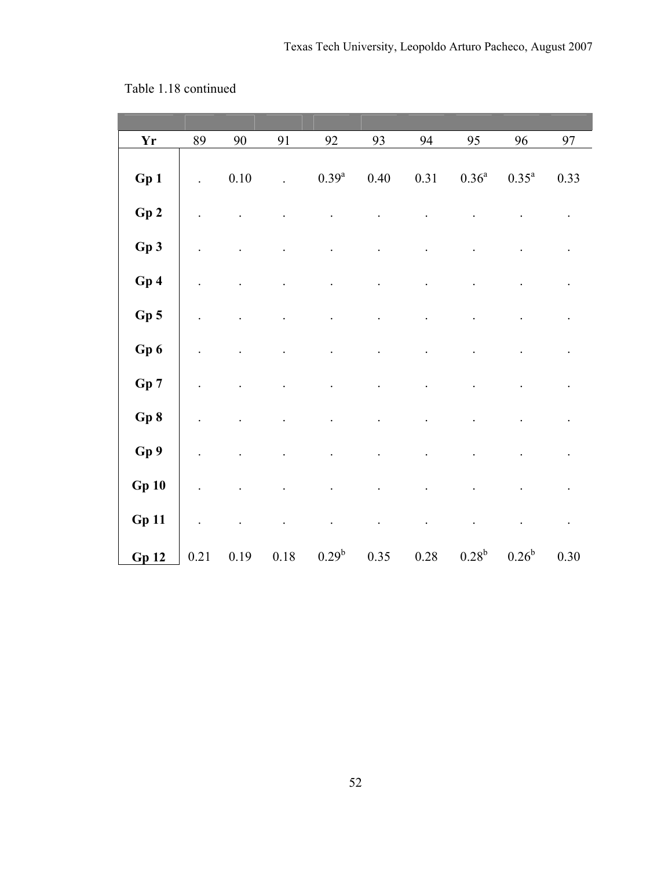| $\mathbf{Y}\mathbf{r}$ | 89   | 90       | 91       | 92             | 93       | 94       | 95                | 96       | 97                   |
|------------------------|------|----------|----------|----------------|----------|----------|-------------------|----------|----------------------|
| Gp 1                   |      | $0.10\,$ |          | $0.39^{\rm a}$ | $0.40\,$ | 0.31     | 0.36 <sup>a</sup> | $0.35^a$ | 0.33                 |
| Gp2                    |      |          |          |                |          |          |                   |          |                      |
| Gp3                    |      |          |          |                |          |          |                   |          |                      |
| Gp 4                   |      |          |          |                |          |          |                   |          |                      |
| $Gp$ 5                 |      |          |          |                |          |          |                   |          |                      |
| Gp6                    |      |          |          |                |          |          |                   |          |                      |
| ${\bf Gp}$ 7           |      |          |          |                |          |          |                   |          |                      |
| Gp8                    |      |          |          |                |          |          |                   |          |                      |
| Gp9                    |      |          |          |                |          |          |                   |          |                      |
| <b>Gp 10</b>           |      |          |          |                |          |          |                   |          |                      |
| <b>Gp 11</b>           |      |          |          |                |          |          |                   |          | $\ddot{\phantom{0}}$ |
| Gp12                   | 0.21 | 0.19     | $0.18\,$ | $0.29^b$       | 0.35     | $0.28\,$ | 0.28 <sup>b</sup> | $0.26^b$ | 0.30                 |

Table 1.18 continued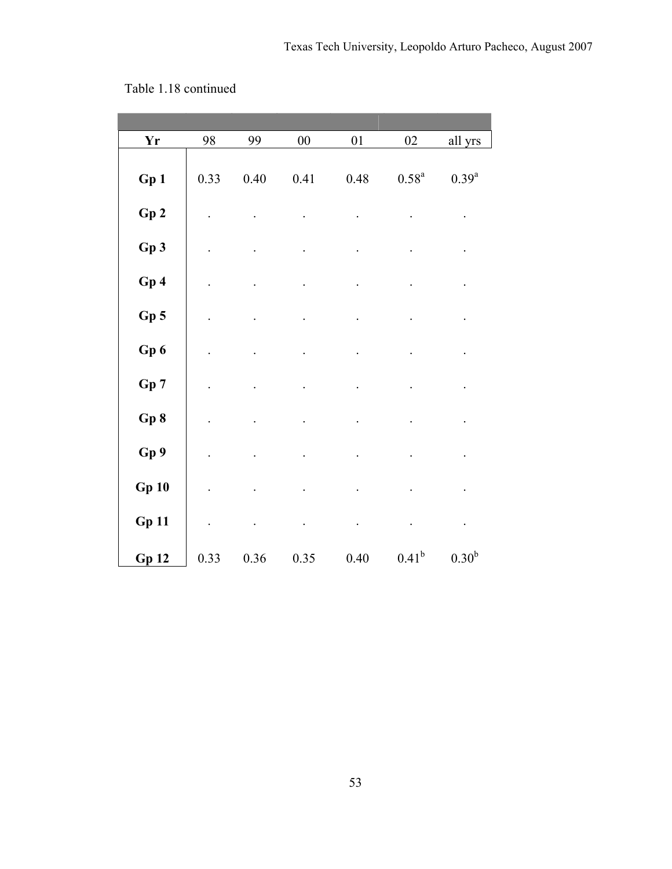| Yr           | 98   | 99       | $00\,$ | 01       | $02\,$         | all yrs           |
|--------------|------|----------|--------|----------|----------------|-------------------|
|              |      |          |        |          |                |                   |
| Gp 1         | 0.33 | $0.40\,$ | 0.41   | 0.48     | $0.58^{\rm a}$ | $0.39^{a}$        |
|              |      |          |        |          |                |                   |
| Gp2          |      |          |        |          |                |                   |
|              |      |          |        |          |                |                   |
| Gp 3         |      |          |        |          |                |                   |
|              |      |          |        |          |                |                   |
| Gp4          |      |          |        |          |                |                   |
|              |      |          |        |          |                |                   |
| $Gp$ 5       |      |          |        |          |                |                   |
| Gp 6         |      |          |        |          |                |                   |
|              |      |          |        |          |                |                   |
| Gp 7         |      |          |        |          |                |                   |
|              |      |          |        |          |                |                   |
| Gp 8         |      |          |        |          |                |                   |
|              |      |          |        |          |                |                   |
| Gp 9         |      |          |        |          |                |                   |
|              |      |          |        |          |                |                   |
| <b>Gp 10</b> |      |          |        |          |                |                   |
|              |      |          |        |          |                |                   |
| <b>Gp 11</b> |      |          |        |          |                | $\cdot$           |
|              | 0.33 | 0.36     | 0.35   | $0.40\,$ | $0.41^{b}$     | 0.30 <sup>b</sup> |
| Gp12         |      |          |        |          |                |                   |

Table 1.18 continued